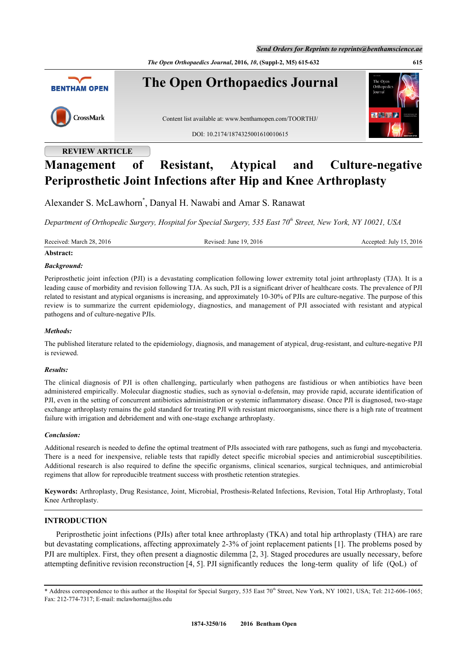*Send Orders for Reprints to reprints@benthamscience.ae*

*The Open Orthopaedics Journal***, 2016,** *10***, (Suppl-2, M5) 615-632 615**



# **REVIEW ARTICLE**

# **Management of Resistant, Atypical and Culture-negative Periprosthetic Joint Infections after Hip and Knee Arthroplasty**

Alexander S. McLawhorn[\\*](#page-0-0) , Danyal H. Nawabi and Amar S. Ranawat

*Department of Orthopedic Surgery, Hospital for Special Surgery, 535 East 70th Street, New York, NY 10021, USA*

Received: March 28, 2016 Revised: June 19, 2016 Revised: July 15, 2016 Accepted: July 15, 2016

# **Abstract:**

# *Background:*

Periprosthetic joint infection (PJI) is a devastating complication following lower extremity total joint arthroplasty (TJA). It is a leading cause of morbidity and revision following TJA. As such, PJI is a significant driver of healthcare costs. The prevalence of PJI related to resistant and atypical organisms is increasing, and approximately 10-30% of PJIs are culture-negative. The purpose of this review is to summarize the current epidemiology, diagnostics, and management of PJI associated with resistant and atypical pathogens and of culture-negative PJIs.

# *Methods:*

The published literature related to the epidemiology, diagnosis, and management of atypical, drug-resistant, and culture-negative PJI is reviewed.

# *Results:*

The clinical diagnosis of PJI is often challenging, particularly when pathogens are fastidious or when antibiotics have been administered empirically. Molecular diagnostic studies, such as synovial α-defensin, may provide rapid, accurate identification of PJI, even in the setting of concurrent antibiotics administration or systemic inflammatory disease. Once PJI is diagnosed, two-stage exchange arthroplasty remains the gold standard for treating PJI with resistant microorganisms, since there is a high rate of treatment failure with irrigation and debridement and with one-stage exchange arthroplasty.

# *Conclusion:*

Additional research is needed to define the optimal treatment of PJIs associated with rare pathogens, such as fungi and mycobacteria. There is a need for inexpensive, reliable tests that rapidly detect specific microbial species and antimicrobial susceptibilities. Additional research is also required to define the specific organisms, clinical scenarios, surgical techniques, and antimicrobial regimens that allow for reproducible treatment success with prosthetic retention strategies.

**Keywords:** Arthroplasty, Drug Resistance, Joint, Microbial, Prosthesis-Related Infections, Revision, Total Hip Arthroplasty, Total Knee Arthroplasty.

# **INTRODUCTION**

Periprosthetic joint infections (PJIs) after total knee arthroplasty (TKA) and total hip arthroplasty (THA) are rare but devastating complications, affecting approximately 2-3% of joint replacement patients [[1\]](#page-10-0). The problems posed by PJI are multiplex. First, they often present a diagnostic dilemma [[2,](#page-10-1) [3\]](#page-10-2). Staged procedures are usually necessary, before attempting definitive revision reconstruction [[4,](#page-10-3) [5\]](#page-10-4). PJI significantly reduces the long-term quality of life (QoL) of

<span id="page-0-0"></span><sup>\*</sup> Address correspondence to this author at the Hospital for Special Surgery, 535 East 70<sup>th</sup> Street, New York, NY 10021, USA; Tel: 212-606-1065; Fax: 212-774-7317; E-mail: [mclawhorna@hss.edu](mailto:mclawhorna@hss.edu)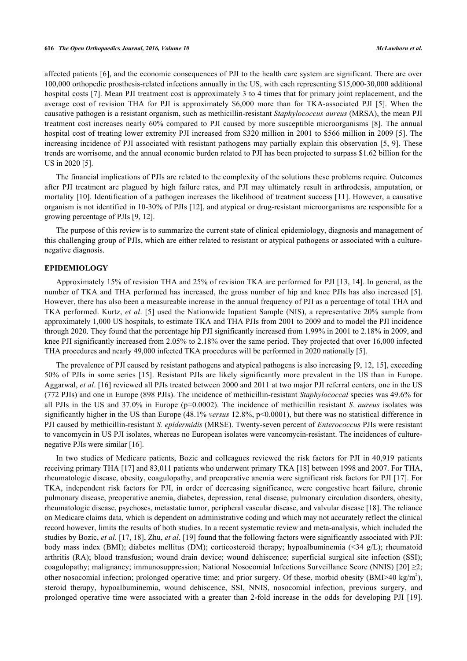affected patients [[6](#page-10-5)], and the economic consequences of PJI to the health care system are significant. There are over 100,000 orthopedic prosthesis-related infections annually in the US, with each representing \$15,000-30,000 additional hospital costs [\[7](#page-10-6)]. Mean PJI treatment cost is approximately 3 to 4 times that for primary joint replacement, and the average cost of revision THA for PJI is approximately \$6,000 more than for TKA-associated PJI [\[5\]](#page-10-4). When the causative pathogen is a resistant organism, such as methicillin-resistant *Staphylococcus aureus* (MRSA), the mean PJI treatment cost increases nearly 60% compared to PJI caused by more susceptible microorganisms [[8](#page-10-7)]. The annual hospital cost of treating lower extremity PJI increased from \$320 million in 2001 to \$566 million in 2009 [\[5](#page-10-4)]. The increasing incidence of PJI associated with resistant pathogens may partially explain this observation [[5,](#page-10-4) [9\]](#page-10-8). These trends are worrisome, and the annual economic burden related to PJI has been projected to surpass \$1.62 billion for the US in 2020 [\[5](#page-10-4)].

The financial implications of PJIs are related to the complexity of the solutions these problems require. Outcomes after PJI treatment are plagued by high failure rates, and PJI may ultimately result in arthrodesis, amputation, or mortality [[10](#page-11-0)]. Identification of a pathogen increases the likelihood of treatment success [\[11\]](#page-11-1). However, a causative organism is not identified in 10-30% of PJIs [[12](#page-11-2)], and atypical or drug-resistant microorganisms are responsible for a growing percentage of PJIs [[9,](#page-10-8) [12\]](#page-11-2).

The purpose of this review is to summarize the current state of clinical epidemiology, diagnosis and management of this challenging group of PJIs, which are either related to resistant or atypical pathogens or associated with a culturenegative diagnosis.

#### **EPIDEMIOLOGY**

Approximately 15% of revision THA and 25% of revision TKA are performed for PJI [\[13](#page-11-3), [14](#page-11-4)]. In general, as the number of TKA and THA performed has increased, the gross number of hip and knee PJIs has also increased [[5\]](#page-10-4). However, there has also been a measureable increase in the annual frequency of PJI as a percentage of total THA and TKA performed. Kurtz, *et al*. [\[5\]](#page-10-4) used the Nationwide Inpatient Sample (NIS), a representative 20% sample from approximately 1,000 US hospitals, to estimate TKA and THA PJIs from 2001 to 2009 and to model the PJI incidence through 2020. They found that the percentage hip PJI significantly increased from 1.99% in 2001 to 2.18% in 2009, and knee PJI significantly increased from 2.05% to 2.18% over the same period. They projected that over 16,000 infected THA procedures and nearly 49,000 infected TKA procedures will be performed in 2020 nationally [\[5](#page-10-4)].

The prevalence of PJI caused by resistant pathogens and atypical pathogens is also increasing [\[9](#page-10-8), [12](#page-11-2), [15](#page-11-5)], exceeding 50% of PJIs in some series [\[15\]](#page-11-5). Resistant PJIs are likely significantly more prevalent in the US than in Europe. Aggarwal, *et al*. [\[16](#page-11-6)] reviewed all PJIs treated between 2000 and 2011 at two major PJI referral centers, one in the US (772 PJIs) and one in Europe (898 PJIs). The incidence of methicillin-resistant *Staphylococcal* species was 49.6% for all PJIs in the US and 37.0% in Europe (p=0.0002). The incidence of methicillin resistant *S. aureus* isolates was significantly higher in the US than Europe (48.1% *versus* 12.8%, p<0.0001), but there was no statistical difference in PJI caused by methicillin-resistant *S. epidermidis* (MRSE). Twenty-seven percent of *Enterococcus* PJIs were resistant to vancomycin in US PJI isolates, whereas no European isolates were vancomycin-resistant. The incidences of culturenegative PJIs were similar [[16\]](#page-11-6).

In two studies of Medicare patients, Bozic and colleagues reviewed the risk factors for PJI in 40,919 patients receiving primary THA [[17\]](#page-11-7) and 83,011 patients who underwent primary TKA [[18\]](#page-11-8) between 1998 and 2007. For THA, rheumatologic disease, obesity, coagulopathy, and preoperative anemia were significant risk factors for PJI [\[17\]](#page-11-7). For TKA, independent risk factors for PJI, in order of decreasing significance, were congestive heart failure, chronic pulmonary disease, preoperative anemia, diabetes, depression, renal disease, pulmonary circulation disorders, obesity, rheumatologic disease, psychoses, metastatic tumor, peripheral vascular disease, and valvular disease [\[18](#page-11-8)]. The reliance on Medicare claims data, which is dependent on administrative coding and which may not accurately reflect the clinical record however, limits the results of both studies. In a recent systematic review and meta-analysis, which included the studies by Bozic, *et al*. [[17,](#page-11-7) [18](#page-11-8)], Zhu, *et al*. [\[19](#page-11-9)] found that the following factors were significantly associated with PJI: body mass index (BMI); diabetes mellitus (DM); corticosteroid therapy; hypoalbuminemia (<34 g/L); rheumatoid arthritis (RA); blood transfusion; wound drain device; wound dehiscence; superficial surgical site infection (SSI); coagulopathy; malignancy; immunosuppression; National Nosocomial Infections Surveillance Score (NNIS) [[20\]](#page-11-10) ≥2; other nosocomial infection; prolonged operative time; and prior surgery. Of these, morbid obesity (BMI>40 kg/m<sup>2</sup>), steroid therapy, hypoalbuminemia, wound dehiscence, SSI, NNIS, nosocomial infection, previous surgery, and prolonged operative time were associated with a greater than 2-fold increase in the odds for developing PJI [\[19\]](#page-11-9).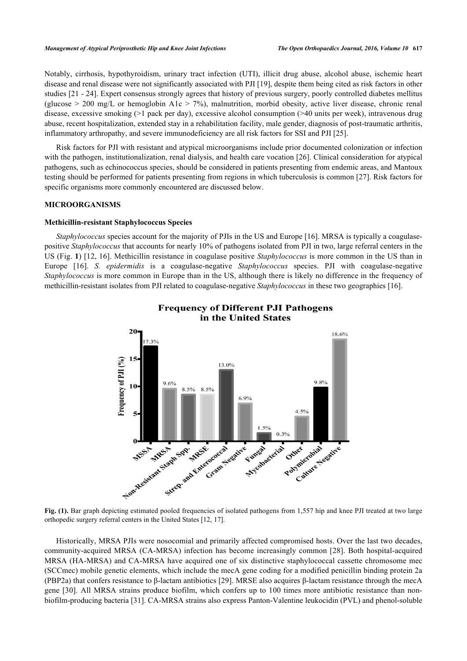Notably, cirrhosis, hypothyroidism, urinary tract infection (UTI), illicit drug abuse, alcohol abuse, ischemic heart disease and renal disease were not significantly associated with PJI [\[19](#page-11-9)], despite them being cited as risk factors in other studies [[21](#page-11-11) - [24\]](#page-11-12). Expert consensus strongly agrees that history of previous surgery, poorly controlled diabetes mellitus (glucose  $> 200$  mg/L or hemoglobin A1c  $> 7\%$ ), malnutrition, morbid obesity, active liver disease, chronic renal disease, excessive smoking (>1 pack per day), excessive alcohol consumption (>40 units per week), intravenous drug abuse, recent hospitalization, extended stay in a rehabilitation facility, male gender, diagnosis of post-traumatic arthritis, inflammatory arthropathy, and severe immunodeficiency are all risk factors for SSI and PJI [\[25](#page-11-13)].

Risk factors for PJI with resistant and atypical microorganisms include prior documented colonization or infection with the pathogen, institutionalization, renal dialysis, and health care vocation [[26](#page-11-14)]. Clinical consideration for atypical pathogens, such as echinococcus species, should be considered in patients presenting from endemic areas, and Mantoux testing should be performed for patients presenting from regions in which tuberculosis is common [[27\]](#page-11-15). Risk factors for specific organisms more commonly encountered are discussed below.

#### **MICROORGANISMS**

#### **Methicillin-resistant Staphylococcus Species**

<span id="page-2-0"></span>*Staphylococcus* species account for the majority of PJIs in the US and Europe [[16\]](#page-11-6). MRSA is typically a coagulasepositive *Staphylococcus* that accounts for nearly 10% of pathogens isolated from PJI in two, large referral centers in the US (Fig. **[1](#page-2-0)**) [[12,](#page-11-2) [16\]](#page-11-6). Methicillin resistance in coagulase positive *Staphylococcus* is more common in the US than in Europe[[16](#page-11-6)]. *S. epidermidis* is a coagulase-negative *Staphylococcus* species. PJI with coagulase-negative *Staphylococcus* is more common in Europe than in the US, although there is likely no difference in the frequency of methicillin-resistant isolates from PJI related to coagulase-negative *Staphylococcus* in these two geographies [[16\]](#page-11-6).



# **Frequency of Different PJI Pathogens** in the United States

Fig. (1). Bar graph depicting estimated pooled frequencies of isolated pathogens from 1,557 hip and knee PJI treated at two large orthopedic surgery referral centers in the United States [\[12](#page-11-2), [17\]](#page-11-7).

Historically, MRSA PJIs were nosocomial and primarily affected compromised hosts. Over the last two decades, community-acquired MRSA (CA-MRSA) infection has become increasingly common [[28](#page-11-16)]. Both hospital-acquired MRSA (HA-MRSA) and CA-MRSA have acquired one of six distinctive staphylococcal cassette chromosome mec (SCCmec) mobile genetic elements, which include the mecA gene coding for a modified penicillin binding protein 2a (PBP2a) that confers resistance to β-lactam antibiotics [[29](#page-11-17)]. MRSE also acquires β-lactam resistance through the mecA gene [[30](#page-12-0)]. All MRSA strains produce biofilm, which confers up to 100 times more antibiotic resistance than nonbiofilm-producing bacteria [\[31](#page-12-1)]. CA-MRSA strains also express Panton-Valentine leukocidin (PVL) and phenol-soluble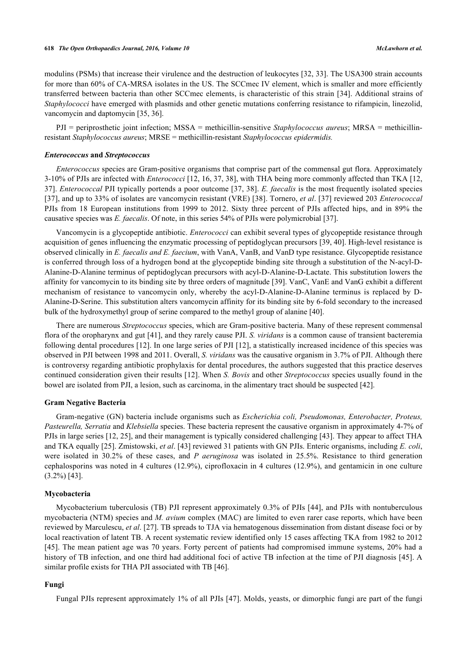modulins (PSMs) that increase their virulence and the destruction of leukocytes [\[32](#page-12-2), [33\]](#page-12-3). The USA300 strain accounts for more than 60% of CA-MRSA isolates in the US. The SCCmec IV element, which is smaller and more efficiently transferred between bacteria than other SCCmec elements, is characteristic of this strain [\[34](#page-12-4)]. Additional strains of *Staphylococci* have emerged with plasmids and other genetic mutations conferring resistance to rifampicin, linezolid, vancomycin and daptomycin [\[35](#page-12-5), [36](#page-12-6)].

PJI = periprosthetic joint infection; MSSA = methicillin-sensitive *Staphylococcus aureus*; MRSA = methicillinresistant *Staphylococcus aureus*; MRSE = methicillin-resistant *Staphylococcus epidermidis.*

#### *Enterococcus* **and** *Streptococcus*

*Enterococcus* species are Gram-positive organisms that comprise part of the commensal gut flora. Approximately 3-10% of PJIs are infected with *Enterococci* [[12](#page-11-2), [16](#page-11-6), [37,](#page-12-7) [38\]](#page-12-8), with THA being more commonly affected than TKA [[12](#page-11-2), [37\]](#page-12-7). *Enterococcal* PJI typically portends a poor outcome [\[37](#page-12-7), [38](#page-12-8)]. *E. faecalis* is the most frequently isolated species [\[37](#page-12-7)], and up to 33% of isolates are vancomycin resistant (VRE) [[38](#page-12-8)]. Tornero, *et al*. [\[37\]](#page-12-7) reviewed 203 *Enterococcal* PJIs from 18 European institutions from 1999 to 2012. Sixty three percent of PJIs affected hips, and in 89% the causative species was *E. faecalis*. Of note, in this series 54% of PJIs were polymicrobial [[37\]](#page-12-7).

Vancomycin is a glycopeptide antibiotic. *Enterococci* can exhibit several types of glycopeptide resistance through acquisition of genes influencing the enzymatic processing of peptidoglycan precursors [[39,](#page-12-9) [40\]](#page-12-10). High-level resistance is observed clinically in *E. faecalis and E. faecium*, with VanA, VanB, and VanD type resistance. Glycopeptide resistance is conferred through loss of a hydrogen bond at the glycopeptide binding site through a substitution of the N-acyl-D-Alanine-D-Alanine terminus of peptidoglycan precursors with acyl-D-Alanine-D-Lactate. This substitution lowers the affinity for vancomycin to its binding site by three orders of magnitude [[39](#page-12-9)]. VanC, VanE and VanG exhibit a different mechanism of resistance to vancomycin only, whereby the acyl-D-Alanine-D-Alanine terminus is replaced by D-Alanine-D-Serine. This substitution alters vancomycin affinity for its binding site by 6-fold secondary to the increased bulk of the hydroxymethyl group of serine compared to the methyl group of alanine [[40\]](#page-12-10).

There are numerous *Streptococcus* species, which are Gram-positive bacteria. Many of these represent commensal flora of the oropharynx and gut [\[41](#page-12-11)], and they rarely cause PJI. *S. viridans* is a common cause of transient bacteremia following dental procedures [\[12](#page-11-2)]. In one large series of PJI [[12](#page-11-2)], a statistically increased incidence of this species was observed in PJI between 1998 and 2011. Overall, *S. viridans* was the causative organism in 3.7% of PJI. Although there is controversy regarding antibiotic prophylaxis for dental procedures, the authors suggested that this practice deserves continued consideration given their results [[12\]](#page-11-2). When *S. Bovis* and other *Streptococcus* species usually found in the bowel are isolated from PJI, a lesion, such as carcinoma, in the alimentary tract should be suspected [\[42](#page-12-12)].

#### **Gram Negative Bacteria**

Gram-negative (GN) bacteria include organisms such as *Escherichia coli, Pseudomonas, Enterobacter, Proteus, Pasteurella, Serratia* and *Klebsiella* species. These bacteria represent the causative organism in approximately 4-7% of PJIs in large series [\[12](#page-11-2), [25](#page-11-13)], and their management is typically considered challenging [[43\]](#page-12-13). They appear to affect THA and TKA equally [[25\]](#page-11-13). Zmistowski, *et al*. [[43\]](#page-12-13) reviewed 31 patients with GN PJIs. Enteric organisms, including *E. coli*, were isolated in 30.2% of these cases, and *P aeruginosa* was isolated in 25.5%. Resistance to third generation cephalosporins was noted in 4 cultures (12.9%), ciprofloxacin in 4 cultures (12.9%), and gentamicin in one culture (3.2%) [\[43](#page-12-13)].

### **Mycobacteria**

Mycobacterium tuberculosis (TB) PJI represent approximately 0.3% of PJIs [[44](#page-12-14)], and PJIs with nontuberculous mycobacteria (NTM) species and *M. avium* complex (MAC) are limited to even rarer case reports, which have been reviewed by Marculescu, *et al*. [\[27](#page-11-15)]. TB spreads to TJA via hematogenous dissemination from distant disease foci or by local reactivation of latent TB. A recent systematic review identified only 15 cases affecting TKA from 1982 to 2012 [\[45](#page-12-15)]. The mean patient age was 70 years. Forty percent of patients had compromised immune systems, 20% had a history of TB infection, and one third had additional foci of active TB infection at the time of PJI diagnosis [[45](#page-12-15)]. A similar profile exists for THA PJI associated with TB [\[46](#page-12-16)].

#### **Fungi**

Fungal PJIs represent approximately 1% of all PJIs [[47\]](#page-12-17). Molds, yeasts, or dimorphic fungi are part of the fungi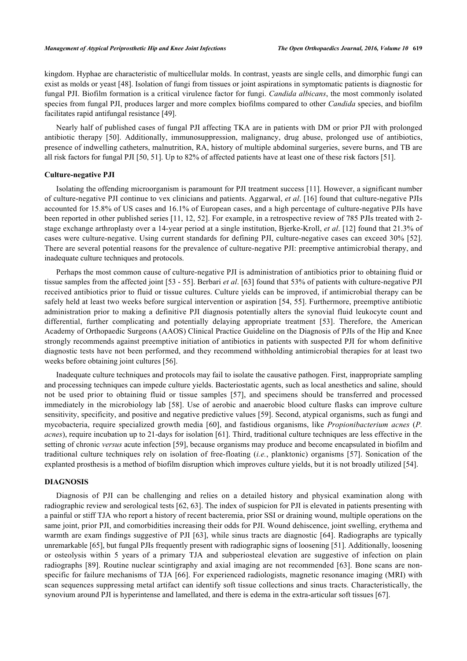kingdom. Hyphae are characteristic of multicellular molds. In contrast, yeasts are single cells, and dimorphic fungi can exist as molds or yeast [[48](#page-12-18)]. Isolation of fungi from tissues or joint aspirations in symptomatic patients is diagnostic for fungal PJI. Biofilm formation is a critical virulence factor for fungi. *Candida albicans*, the most commonly isolated species from fungal PJI, produces larger and more complex biofilms compared to other *Candida* species, and biofilm facilitates rapid antifungal resistance [\[49](#page-13-0)].

Nearly half of published cases of fungal PJI affecting TKA are in patients with DM or prior PJI with prolonged antibiotic therapy[[50\]](#page-13-1). Additionally, immunosuppression, malignancy, drug abuse, prolonged use of antibiotics, presence of indwelling catheters, malnutrition, RA, history of multiple abdominal surgeries, severe burns, and TB are all risk factors for fungal PJI [\[50](#page-13-1), [51](#page-13-2)]. Up to 82% of affected patients have at least one of these risk factors [[51\]](#page-13-2).

#### **Culture-negative PJI**

Isolating the offending microorganism is paramount for PJI treatment success [[11](#page-11-1)]. However, a significant number of culture-negative PJI continue to vex clinicians and patients. Aggarwal, *et al*. [[16\]](#page-11-6) found that culture-negative PJIs accounted for 15.8% of US cases and 16.1% of European cases, and a high percentage of culture-negative PJIs have been reported in other published series [[11,](#page-11-1) [12](#page-11-2), [52\]](#page-13-3). For example, in a retrospective review of 785 PJIs treated with 2 stage exchange arthroplasty over a 14-year period at a single institution, Bjerke-Kroll, *et al*. [\[12](#page-11-2)] found that 21.3% of cases were culture-negative. Using current standards for defining PJI, culture-negative cases can exceed 30% [\[52\]](#page-13-3). There are several potential reasons for the prevalence of culture-negative PJI: preemptive antimicrobial therapy, and inadequate culture techniques and protocols.

Perhaps the most common cause of culture-negative PJI is administration of antibiotics prior to obtaining fluid or tissue samples from the affected joint [\[53](#page-13-4) - [55](#page-13-5)]. Berbari *et al*. [[63\]](#page-13-6) found that 53% of patients with culture-negative PJI received antibiotics prior to fluid or tissue cultures. Culture yields can be improved, if antimicrobial therapy can be safely held at least two weeks before surgical intervention or aspiration [\[54](#page-13-7), [55](#page-13-5)]. Furthermore, preemptive antibiotic administration prior to making a definitive PJI diagnosis potentially alters the synovial fluid leukocyte count and differential, further complicating and potentially delaying appropriate treatment[[53](#page-13-4)]. Therefore, the American Academy of Orthopaedic Surgeons (AAOS) Clinical Practice Guideline on the Diagnosis of PJIs of the Hip and Knee strongly recommends against preemptive initiation of antibiotics in patients with suspected PJI for whom definitive diagnostic tests have not been performed, and they recommend withholding antimicrobial therapies for at least two weeks before obtaining joint cultures [[56\]](#page-13-8).

Inadequate culture techniques and protocols may fail to isolate the causative pathogen. First, inappropriate sampling and processing techniques can impede culture yields. Bacteriostatic agents, such as local anesthetics and saline, should not be used prior to obtaining fluid or tissue samples [\[57\]](#page-13-9), and specimens should be transferred and processed immediately in the microbiology lab[[58\]](#page-13-10). Use of aerobic and anaerobic blood culture flasks can improve culture sensitivity, specificity, and positive and negative predictive values [\[59](#page-13-11)]. Second, atypical organisms, such as fungi and mycobacteria, require specialized growth media [\[60\]](#page-13-12), and fastidious organisms, like *Propionibacterium acnes* (*P. acnes*), require incubation up to 21-days for isolation [[61](#page-13-13)]. Third, traditional culture techniques are less effective in the setting of chronic *versus* acute infection [[59\]](#page-13-11), because organisms may produce and become encapsulated in biofilm and traditional culture techniques rely on isolation of free-floating (*i.e.*, planktonic) organisms[[57](#page-13-9)]. Sonication of the explanted prosthesis is a method of biofilm disruption which improves culture yields, but it is not broadly utilized [[54\]](#page-13-7).

#### **DIAGNOSIS**

Diagnosis of PJI can be challenging and relies on a detailed history and physical examination along with radiographic review and serological tests [[62](#page-13-14), [63](#page-13-6)]. The index of suspicion for PJI is elevated in patients presenting with a painful or stiff TJA who report a history of recent bacteremia, prior SSI or draining wound, multiple operations on the same joint, prior PJI, and comorbidities increasing their odds for PJI. Wound dehiscence, joint swelling, erythema and warmth are exam findings suggestive of PJI [[63\]](#page-13-6), while sinus tracts are diagnostic [[64\]](#page-13-15). Radiographs are typically unremarkable [[65\]](#page-13-16), but fungal PJIs frequently present with radiographic signs of loosening [[51\]](#page-13-2). Additionally, loosening or osteolysis within 5 years of a primary TJA and subperiosteal elevation are suggestive of infection on plain radiographs [[89](#page-15-0)]. Routine nuclear scintigraphy and axial imaging are not recommended [[63](#page-13-6)]. Bone scans are non-specific for failure mechanisms of TJA [[66\]](#page-13-17). For experienced radiologists, magnetic resonance imaging (MRI) with scan sequences suppressing metal artifact can identify soft tissue collections and sinus tracts. Characteristically, the synovium around PJI is hyperintense and lamellated, and there is edema in the extra-articular soft tissues [[67\]](#page-13-18).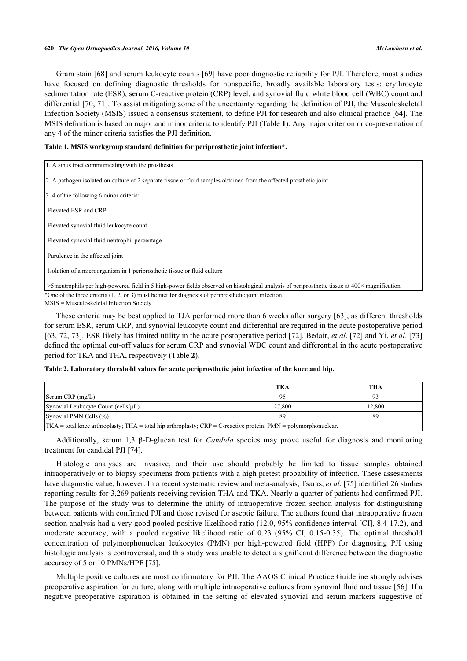Gram stain [\[68\]](#page-13-19) and serum leukocyte counts [[69\]](#page-13-20) have poor diagnostic reliability for PJI. Therefore, most studies have focused on defining diagnostic thresholds for nonspecific, broadly available laboratory tests: erythrocyte sedimentation rate (ESR), serum C-reactive protein (CRP) level, and synovial fluid white blood cell (WBC) count and differential [\[70,](#page-14-0) [71](#page-14-1)]. To assist mitigating some of the uncertainty regarding the definition of PJI, the Musculoskeletal Infection Society (MSIS) issued a consensus statement, to define PJI for research and also clinical practice [[64\]](#page-13-15). The MSIS definition is based on major and minor criteria to identify PJI (Table **[1](#page-5-0)**). Any major criterion or co-presentation of any 4 of the minor criteria satisfies the PJI definition.

|  |  |  | Table 1. MSIS workgroup standard definition for periprosthetic joint infection*. |  |
|--|--|--|----------------------------------------------------------------------------------|--|
|  |  |  |                                                                                  |  |

<span id="page-5-0"></span>

| 1. A sinus tract communicating with the prosthesis                                                                                                     |  |  |  |
|--------------------------------------------------------------------------------------------------------------------------------------------------------|--|--|--|
| 2. A pathogen isolated on culture of 2 separate tissue or fluid samples obtained from the affected prosthetic joint                                    |  |  |  |
| 3.4 of the following 6 minor criteria:                                                                                                                 |  |  |  |
| Elevated ESR and CRP                                                                                                                                   |  |  |  |
| Elevated synovial fluid leukocyte count                                                                                                                |  |  |  |
| Elevated synovial fluid neutrophil percentage                                                                                                          |  |  |  |
| Purulence in the affected joint                                                                                                                        |  |  |  |
| Isolation of a microorganism in 1 periprosthetic tissue or fluid culture                                                                               |  |  |  |
| $>5$ neutrophils per high-powered field in 5 high-power fields observed on histological analysis of periprosthetic tissue at $400\times$ magnification |  |  |  |
| *One of the three criteria $(1, 2, \text{or } 3)$ must be met for diagnosis of periprosthetic joint infection.                                         |  |  |  |

MSIS = Musculoskeletal Infection Society

These criteria may be best applied to TJA performed more than 6 weeks after surgery [[63\]](#page-13-6), as different thresholds for serum ESR, serum CRP, and synovial leukocyte count and differential are required in the acute postoperative period [\[63](#page-13-6), [72,](#page-14-2) [73](#page-14-3)]. ESR likely has limited utility in the acute postoperative period [\[72\]](#page-14-2). Bedair, *et al*. [\[72\]](#page-14-2) and Yi, *et al*. [\[73](#page-14-3)] defined the optimal cut-off values for serum CRP and synovial WBC count and differential in the acute postoperative period for TKA and THA, respectively (Table **[2](#page-5-1)**).

<span id="page-5-1"></span>

|  |  | Table 2. Laboratory threshold values for acute periprosthetic joint infection of the knee and hip. |  |  |
|--|--|----------------------------------------------------------------------------------------------------|--|--|
|--|--|----------------------------------------------------------------------------------------------------|--|--|

|                                                                                                                   | TKA    | THA    |  |  |
|-------------------------------------------------------------------------------------------------------------------|--------|--------|--|--|
| $Serum$ CRP $(mg/L)$                                                                                              |        |        |  |  |
| Synovial Leukocyte Count (cells/ $\mu$ L)                                                                         | 27,800 | 12.800 |  |  |
| Synovial PMN Cells (%)<br>89                                                                                      |        |        |  |  |
| $TKA = total$ knee arthroplasty; THA = total hip arthroplasty; CRP = C-reactive protein; PMN = polymorphonuclear. |        |        |  |  |

Additionally, serum 1,3 β-D-glucan test for *Candida* species may prove useful for diagnosis and monitoring treatment for candidal PJI [\[74](#page-14-4)].

Histologic analyses are invasive, and their use should probably be limited to tissue samples obtained intraoperatively or to biopsy specimens from patients with a high pretest probability of infection. These assessments have diagnostic value, however. In a recent systematic review and meta-analysis, Tsaras, *et al*. [\[75](#page-14-5)] identified 26 studies reporting results for 3,269 patients receiving revision THA and TKA. Nearly a quarter of patients had confirmed PJI. The purpose of the study was to determine the utility of intraoperative frozen section analysis for distinguishing between patients with confirmed PJI and those revised for aseptic failure. The authors found that intraoperative frozen section analysis had a very good pooled positive likelihood ratio (12.0, 95% confidence interval [CI], 8.4-17.2), and moderate accuracy, with a pooled negative likelihood ratio of 0.23 (95% CI, 0.15-0.35). The optimal threshold concentration of polymorphonuclear leukocytes (PMN) per high-powered field (HPF) for diagnosing PJI using histologic analysis is controversial, and this study was unable to detect a significant difference between the diagnostic accuracy of 5 or 10 PMNs/HPF [[75\]](#page-14-5).

Multiple positive cultures are most confirmatory for PJI. The AAOS Clinical Practice Guideline strongly advises preoperative aspiration for culture, along with multiple intraoperative cultures from synovial fluid and tissue [[56\]](#page-13-8). If a negative preoperative aspiration is obtained in the setting of elevated synovial and serum markers suggestive of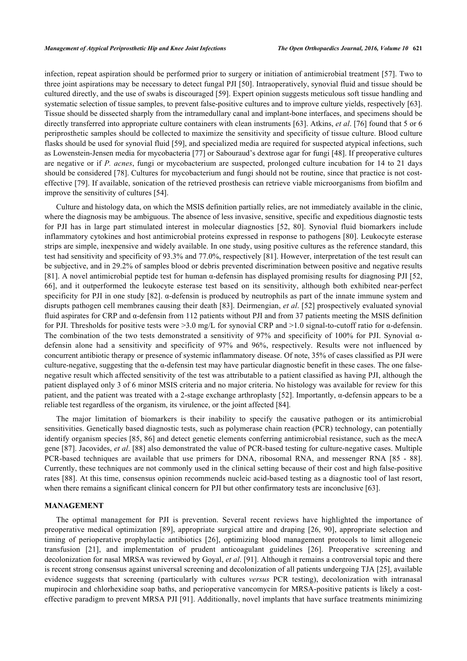infection, repeat aspiration should be performed prior to surgery or initiation of antimicrobial treatment [[57](#page-13-9)]. Two to three joint aspirations may be necessary to detect fungal PJI [[50](#page-13-1)]. Intraoperatively, synovial fluid and tissue should be cultured directly, and the use of swabs is discouraged [\[59](#page-13-11)]. Expert opinion suggests meticulous soft tissue handling and systematic selection of tissue samples, to prevent false-positive cultures and to improve culture yields, respectively [[63\]](#page-13-6). Tissue should be dissected sharply from the intramedullary canal and implant-bone interfaces, and specimens should be directly transferred into appropriate culture containers with clean instruments [[63](#page-13-6)]. Atkins, *et al*. [\[76\]](#page-14-6) found that 5 or 6 periprosthetic samples should be collected to maximize the sensitivity and specificity of tissue culture. Blood culture flasks should be used for synovial fluid [\[59](#page-13-11)], and specialized media are required for suspected atypical infections, such as Lowenstein-Jensen media for mycobacteria [[77\]](#page-14-7) or Sabouraud's dextrose agar for fungi [\[48](#page-12-18)]. If preoperative cultures are negative or if *P. acnes*, fungi or mycobacterium are suspected, prolonged culture incubation for 14 to 21 days should be considered [[78\]](#page-14-8). Cultures for mycobacterium and fungi should not be routine, since that practice is not costeffective [\[79\]](#page-14-9). If available, sonication of the retrieved prosthesis can retrieve viable microorganisms from biofilm and improve the sensitivity of cultures [\[54](#page-13-7)].

Culture and histology data, on which the MSIS definition partially relies, are not immediately available in the clinic, where the diagnosis may be ambiguous. The absence of less invasive, sensitive, specific and expeditious diagnostic tests for PJI has in large part stimulated interest in molecular diagnostics[[52](#page-13-3), [80](#page-14-10)]. Synovial fluid biomarkers include inflammatory cytokines and host antimicrobial proteins expressed in response to pathogens [[80](#page-14-10)]. Leukocyte esterase strips are simple, inexpensive and widely available. In one study, using positive cultures as the reference standard, this test had sensitivity and specificity of 93.3% and 77.0%, respectively [\[81](#page-14-11)]. However, interpretation of the test result can be subjective, and in 29.2% of samples blood or debris prevented discrimination between positive and negative results [\[81](#page-14-11)]. A novel antimicrobial peptide test for human α-defensin has displayed promising results for diagnosing PJI [[52](#page-13-3), [66\]](#page-13-17), and it outperformed the leukocyte esterase test based on its sensitivity, although both exhibited near-perfect specificity for PJI in one study [[82](#page-14-12)]. α-defensin is produced by neutrophils as part of the innate immune system and disrupts pathogen cell membranes causing their death [\[83](#page-14-13)]. Deirmengian, *et al*. [[52](#page-13-3)] prospectively evaluated synovial fluid aspirates for CRP and α-defensin from 112 patients without PJI and from 37 patients meeting the MSIS definition for PJI. Thresholds for positive tests were  $>3.0$  mg/L for synovial CRP and  $>1.0$  signal-to-cutoff ratio for  $\alpha$ -defensin. The combination of the two tests demonstrated a sensitivity of 97% and specificity of 100% for PJI. Synovial αdefensin alone had a sensitivity and specificity of 97% and 96%, respectively. Results were not influenced by concurrent antibiotic therapy or presence of systemic inflammatory disease. Of note, 35% of cases classified as PJI were culture-negative, suggesting that the  $\alpha$ -defensin test may have particular diagnostic benefit in these cases. The one falsenegative result which affected sensitivity of the test was attributable to a patient classified as having PJI, although the patient displayed only 3 of 6 minor MSIS criteria and no major criteria. No histology was available for review for this patient, and the patient was treated with a 2-stage exchange arthroplasty [[52\]](#page-13-3). Importantly, α-defensin appears to be a reliable test regardless of the organism, its virulence, or the joint affected [[84\]](#page-14-14).

The major limitation of biomarkers is their inability to specify the causative pathogen or its antimicrobial sensitivities. Genetically based diagnostic tests, such as polymerase chain reaction (PCR) technology, can potentially identify organism species [\[85](#page-14-15), [86](#page-14-16)] and detect genetic elements conferring antimicrobial resistance, such as the mecA gene [[87](#page-14-17)]. Jacovides, *et al*. [\[88](#page-14-18)] also demonstrated the value of PCR-based testing for culture-negative cases. Multiple PCR-based techniques are available that use primers for DNA, ribosomal RNA, and messenger RNA [\[85](#page-14-15) - [88\]](#page-14-18). Currently, these techniques are not commonly used in the clinical setting because of their cost and high false-positive rates [[88\]](#page-14-18). At this time, consensus opinion recommends nucleic acid-based testing as a diagnostic tool of last resort, when there remains a significant clinical concern for PJI but other confirmatory tests are inconclusive [\[63](#page-13-6)].

# **MANAGEMENT**

The optimal management for PJI is prevention. Several recent reviews have highlighted the importance of preoperative medical optimization[[89](#page-15-0)], appropriate surgical attire and draping [\[26](#page-11-14), [90](#page-15-1)], appropriate selection and timing of perioperative prophylactic antibiotics[[26](#page-11-14)], optimizing blood management protocols to limit allogeneic transfusion[[21\]](#page-11-11), and implementation of prudent anticoagulant guidelines [\[26](#page-11-14)]. Preoperative screening and decolonization for nasal MRSA was reviewed by Goyal, *et al*. [\[91](#page-15-2)]. Although it remains a controversial topic and there is recent strong consensus against universal screening and decolonization of all patients undergoing TJA [[25\]](#page-11-13), available evidence suggests that screening (particularly with cultures *versus* PCR testing), decolonization with intranasal mupirocin and chlorhexidine soap baths, and perioperative vancomycin for MRSA-positive patients is likely a costeffective paradigm to prevent MRSA PJI [[91\]](#page-15-2). Additionally, novel implants that have surface treatments minimizing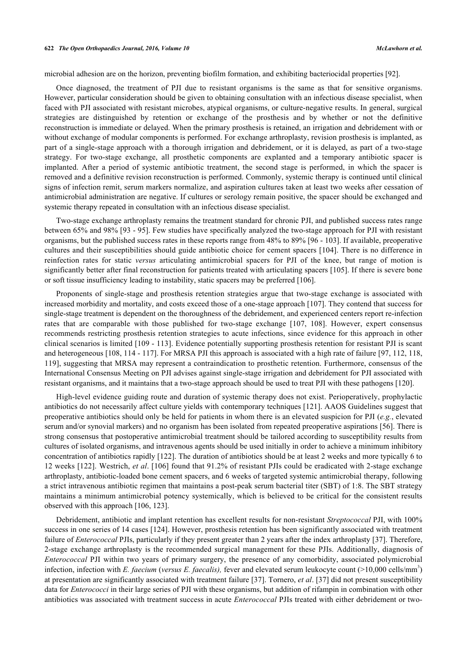microbial adhesion are on the horizon, preventing biofilm formation, and exhibiting bacteriocidal properties [[92\]](#page-15-3).

Once diagnosed, the treatment of PJI due to resistant organisms is the same as that for sensitive organisms. However, particular consideration should be given to obtaining consultation with an infectious disease specialist, when faced with PJI associated with resistant microbes, atypical organisms, or culture-negative results. In general, surgical strategies are distinguished by retention or exchange of the prosthesis and by whether or not the definitive reconstruction is immediate or delayed. When the primary prosthesis is retained, an irrigation and debridement with or without exchange of modular components is performed. For exchange arthroplasty, revision prosthesis is implanted, as part of a single-stage approach with a thorough irrigation and debridement, or it is delayed, as part of a two-stage strategy. For two-stage exchange, all prosthetic components are explanted and a temporary antibiotic spacer is implanted. After a period of systemic antibiotic treatment, the second stage is performed, in which the spacer is removed and a definitive revision reconstruction is performed. Commonly, systemic therapy is continued until clinical signs of infection remit, serum markers normalize, and aspiration cultures taken at least two weeks after cessation of antimicrobial administration are negative. If cultures or serology remain positive, the spacer should be exchanged and systemic therapy repeated in consultation with an infectious disease specialist.

Two-stage exchange arthroplasty remains the treatment standard for chronic PJI, and published success rates range between 65% and 98% [[93](#page-15-4) - [95\]](#page-15-5). Few studies have specifically analyzed the two-stage approach for PJI with resistant organisms, but the published success rates in these reports range from 48% to 89% [[96](#page-15-6) - [103](#page-15-7)]. If available, preoperative cultures and their susceptibilities should guide antibiotic choice for cement spacers [\[104\]](#page-15-8). There is no difference in reinfection rates for static *versus* articulating antimicrobial spacers for PJI of the knee, but range of motion is significantly better after final reconstruction for patients treated with articulating spacers [\[105\]](#page-15-9). If there is severe bone or soft tissue insufficiency leading to instability, static spacers may be preferred [[106\]](#page-15-10).

Proponents of single-stage and prosthesis retention strategies argue that two-stage exchange is associated with increased morbidity and mortality, and costs exceed those of a one-stage approach [[107](#page-15-11)]. They contend that success for single-stage treatment is dependent on the thoroughness of the debridement, and experienced centers report re-infection rates that are comparable with those published for two-stage exchange [\[107](#page-15-11), [108](#page-15-12)]. However, expert consensus recommends restricting prosthesis retention strategies to acute infections, since evidence for this approach in other clinical scenarios is limited [\[109](#page-15-13) - [113\]](#page-16-0). Evidence potentially supporting prosthesis retention for resistant PJI is scant and heterogeneous [[108,](#page-15-12) [114](#page-16-1) - [117](#page-16-2)]. For MRSA PJI this approach is associated with a high rate of failure [[97,](#page-15-14) [112,](#page-16-3) [118](#page-16-4), [119\]](#page-16-5), suggesting that MRSA may represent a contraindication to prosthetic retention. Furthermore, consensus of the International Consensus Meeting on PJI advises against single-stage irrigation and debridement for PJI associated with resistant organisms, and it maintains that a two-stage approach should be used to treat PJI with these pathogens [\[120](#page-16-6)].

High-level evidence guiding route and duration of systemic therapy does not exist. Perioperatively, prophylactic antibiotics do not necessarily affect culture yields with contemporary techniques [[121](#page-16-7)]. AAOS Guidelines suggest that preoperative antibiotics should only be held for patients in whom there is an elevated suspicion for PJI (*e.g.*, elevated serum and/or synovial markers) and no organism has been isolated from repeated preoperative aspirations [[56\]](#page-13-8). There is strong consensus that postoperative antimicrobial treatment should be tailored according to susceptibility results from cultures of isolated organisms, and intravenous agents should be used initially in order to achieve a minimum inhibitory concentration of antibiotics rapidly [[122](#page-16-8)]. The duration of antibiotics should be at least 2 weeks and more typically 6 to 12 weeks [[122](#page-16-8)]. Westrich, *et al*. [[106\]](#page-15-10) found that 91.2% of resistant PJIs could be eradicated with 2-stage exchange arthroplasty, antibiotic-loaded bone cement spacers, and 6 weeks of targeted systemic antimicrobial therapy, following a strict intravenous antibiotic regimen that maintains a post-peak serum bacterial titer (SBT) of 1:8. The SBT strategy maintains a minimum antimicrobial potency systemically, which is believed to be critical for the consistent results observed with this approach [\[106](#page-15-10), [123](#page-16-9)].

Debridement, antibiotic and implant retention has excellent results for non-resistant *Streptococcal* PJI, with 100% success in one series of 14 cases [\[124](#page-16-10)]. However, prosthesis retention has been significantly associated with treatment failure of *Enterococcal* PJIs, particularly if they present greater than 2 years after the index arthroplasty [\[37](#page-12-7)]. Therefore, 2-stage exchange arthroplasty is the recommended surgical management for these PJIs. Additionally, diagnosis of *Enterococcal* PJI within two years of primary surgery, the presence of any comorbidity, associated polymicrobial infection, infection with *E. faecium* (*versus E. faecalis*), fever and elevated serum leukocyte count (>10,000 cells/mm<sup>3</sup>) at presentation are significantly associated with treatment failure [[37\]](#page-12-7). Tornero, *et al*. [\[37](#page-12-7)] did not present susceptibility data for *Enterococci* in their large series of PJI with these organisms, but addition of rifampin in combination with other antibiotics was associated with treatment success in acute *Enterococcal* PJIs treated with either debridement or two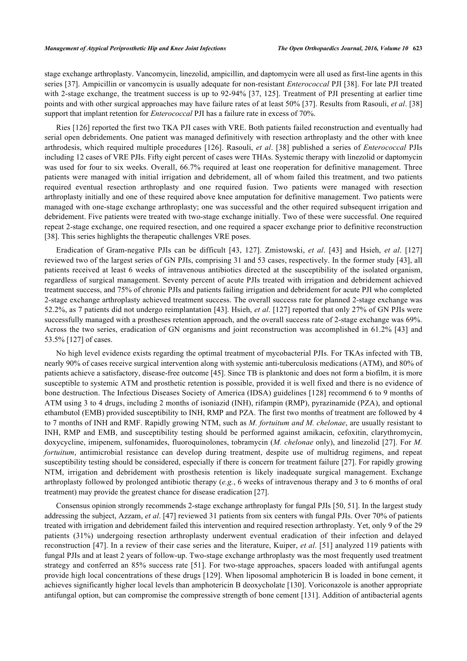stage exchange arthroplasty. Vancomycin, linezolid, ampicillin, and daptomycin were all used as first-line agents in this series [[37](#page-12-7)]. Ampicillin or vancomycin is usually adequate for non-resistant *Enterococcal* PJI [[38](#page-12-8)]. For late PJI treated with 2-stage exchange, the treatment success is up to 92-94% [[37,](#page-12-7) [125\]](#page-16-11). Treatment of PJI presenting at earlier time points and with other surgical approaches may have failure rates of at least 50% [[37\]](#page-12-7). Results from Rasouli, *et al*. [\[38](#page-12-8)] support that implant retention for *Enterococcal* PJI has a failure rate in excess of 70%.

Ries [[126](#page-16-12)] reported the first two TKA PJI cases with VRE. Both patients failed reconstruction and eventually had serial open debridements. One patient was managed definitively with resection arthroplasty and the other with knee arthrodesis, which required multiple procedures [[126](#page-16-12)]. Rasouli, *et al*. [\[38](#page-12-8)] published a series of *Enterococcal* PJIs including 12 cases of VRE PJIs. Fifty eight percent of cases were THAs. Systemic therapy with linezolid or daptomycin was used for four to six weeks. Overall, 66.7% required at least one reoperation for definitive management. Three patients were managed with initial irrigation and debridement, all of whom failed this treatment, and two patients required eventual resection arthroplasty and one required fusion. Two patients were managed with resection arthroplasty initially and one of these required above knee amputation for definitive management. Two patients were managed with one-stage exchange arthroplasty; one was successful and the other required subsequent irrigation and debridement. Five patients were treated with two-stage exchange initially. Two of these were successful. One required repeat 2-stage exchange, one required resection, and one required a spacer exchange prior to definitive reconstruction [\[38](#page-12-8)]. This series highlights the therapeutic challenges VRE poses.

Eradication of Gram-negative PJIs can be difficult [\[43,](#page-12-13) [127\]](#page-16-13). Zmistowski, *et al*.[[43\]](#page-12-13) and Hsieh, *et al*.[[127](#page-16-13)] reviewed two of the largest series of GN PJIs, comprising 31 and 53 cases, respectively. In the former study [\[43\]](#page-12-13), all patients received at least 6 weeks of intravenous antibiotics directed at the susceptibility of the isolated organism, regardless of surgical management. Seventy percent of acute PJIs treated with irrigation and debridement achieved treatment success, and 75% of chronic PJIs and patients failing irrigation and debridement for acute PJI who completed 2-stage exchange arthroplasty achieved treatment success. The overall success rate for planned 2-stage exchange was 52.2%, as 7 patients did not undergo reimplantation [[43](#page-12-13)]. Hsieh, *et al*. [\[127\]](#page-16-13) reported that only 27% of GN PJIs were successfully managed with a prostheses retention approach, and the overall success rate of 2-stage exchange was 69%. Across the two series, eradication of GN organisms and joint reconstruction was accomplished in 61.2% [[43\]](#page-12-13) and 53.5% [\[127](#page-16-13)] of cases.

No high level evidence exists regarding the optimal treatment of mycobacterial PJIs. For TKAs infected with TB, nearly 90% of cases receive surgical intervention along with systemic anti-tuberculosis medications (ATM), and 80% of patients achieve a satisfactory, disease-free outcome [\[45](#page-12-15)]. Since TB is planktonic and does not form a biofilm, it is more susceptible to systemic ATM and prosthetic retention is possible, provided it is well fixed and there is no evidence of bone destruction. The Infectious Diseases Society of America (IDSA) guidelines [\[128\]](#page-16-14) recommend 6 to 9 months of ATM using 3 to 4 drugs, including 2 months of isoniazid (INH), rifampin (RMP), pyrazinamide (PZA), and optional ethambutol (EMB) provided susceptibility to INH, RMP and PZA. The first two months of treatment are followed by 4 to 7 months of INH and RMF. Rapidly growing NTM, such as *M. fortuitum and M. chelonae*, are usually resistant to INH, RMP and EMB, and susceptibility testing should be performed against amikacin, cefoxitin, clarythromycin, doxycycline, imipenem, sulfonamides, fluoroquinolones, tobramycin (*M. chelonae* only), and linezolid [[27\]](#page-11-15). For *M. fortuitum*, antimicrobial resistance can develop during treatment, despite use of multidrug regimens, and repeat susceptibility testing should be considered, especially if there is concern for treatment failure [[27\]](#page-11-15). For rapidly growing NTM, irrigation and debridement with prosthesis retention is likely inadequate surgical management. Exchange arthroplasty followed by prolonged antibiotic therapy (*e.g.*, 6 weeks of intravenous therapy and 3 to 6 months of oral treatment) may provide the greatest chance for disease eradication [\[27](#page-11-15)].

Consensus opinion strongly recommends 2-stage exchange arthroplasty for fungal PJIs [[50](#page-13-1), [51](#page-13-2)]. In the largest study addressing the subject, Azzam, *et al*. [\[47](#page-12-17)] reviewed 31 patients from six centers with fungal PJIs. Over 70% of patients treated with irrigation and debridement failed this intervention and required resection arthroplasty. Yet, only 9 of the 29 patients (31%) undergoing resection arthroplasty underwent eventual eradication of their infection and delayed reconstruction [[47](#page-12-17)]. In a review of their case series and the literature, Kuiper, *et al*. [[51\]](#page-13-2) analyzed 119 patients with fungal PJIs and at least 2 years of follow-up. Two-stage exchange arthroplasty was the most frequently used treatment strategy and conferred an 85% success rate [[51](#page-13-2)]. For two-stage approaches, spacers loaded with antifungal agents provide high local concentrations of these drugs [\[129\]](#page-16-15). When liposomal amphotericin B is loaded in bone cement, it achieves significantly higher local levels than amphotericin B deoxycholate [[130\]](#page-17-0). Voriconazole is another appropriate antifungal option, but can compromise the compressive strength of bone cement [\[131](#page-17-1)]. Addition of antibacterial agents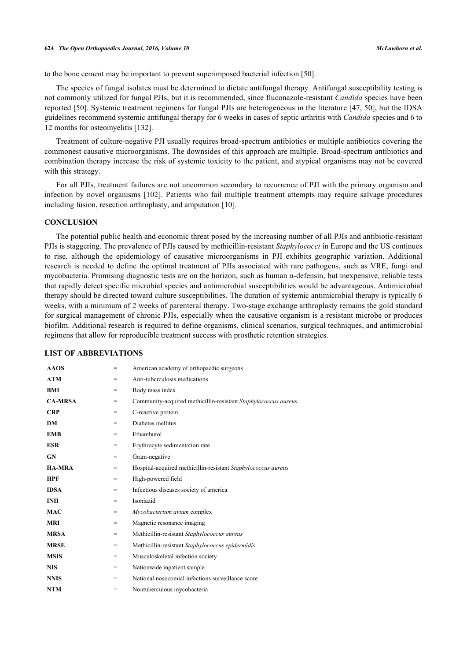to the bone cement may be important to prevent superimposed bacterial infection [\[50](#page-13-1)].

The species of fungal isolates must be determined to dictate antifungal therapy. Antifungal susceptibility testing is not commonly utilized for fungal PJIs, but it is recommended, since fluconazole-resistant *Candida* species have been reported [[50](#page-13-1)]. Systemic treatment regimens for fungal PJIs are heterogeneous in the literature [[47](#page-12-17), [50\]](#page-13-1), but the IDSA guidelines recommend systemic antifungal therapy for 6 weeks in cases of septic arthritis with *Candida* species and 6 to 12 months for osteomyelitis [\[132](#page-17-2)].

Treatment of culture-negative PJI usually requires broad-spectrum antibiotics or multiple antibiotics covering the commonest causative microorganisms. The downsides of this approach are multiple. Broad-spectrum antibiotics and combination therapy increase the risk of systemic toxicity to the patient, and atypical organisms may not be covered with this strategy.

For all PJIs, treatment failures are not uncommon secondary to recurrence of PJI with the primary organism and infection by novel organisms [[102\]](#page-15-15). Patients who fail multiple treatment attempts may require salvage procedures including fusion, resection arthroplasty, and amputation [\[10](#page-11-0)].

# **CONCLUSION**

The potential public health and economic threat posed by the increasing number of all PJIs and antibiotic-resistant PJIs is staggering. The prevalence of PJIs caused by methicillin-resistant *Staphylococci* in Europe and the US continues to rise, although the epidemiology of causative microorganisms in PJI exhibits geographic variation. Additional research is needed to define the optimal treatment of PJIs associated with rare pathogens, such as VRE, fungi and mycobacteria. Promising diagnostic tests are on the horizon, such as human  $\alpha$ -defensin, but inexpensive, reliable tests that rapidly detect specific microbial species and antimicrobial susceptibilities would be advantageous. Antimicrobial therapy should be directed toward culture susceptibilities. The duration of systemic antimicrobial therapy is typically 6 weeks, with a minimum of 2 weeks of parenteral therapy. Two-stage exchange arthroplasty remains the gold standard for surgical management of chronic PJIs, especially when the causative organism is a resistant microbe or produces biofilm. Additional research is required to define organisms, clinical scenarios, surgical techniques, and antimicrobial regimens that allow for reproducible treatment success with prosthetic retention strategies.

# **LIST OF ABBREVIATIONS**

| <b>AAOS</b>    | =   | American academy of orthopaedic surgeons                       |  |
|----------------|-----|----------------------------------------------------------------|--|
| <b>ATM</b>     | $=$ | Anti-tuberculosis medications                                  |  |
| BMI            | =   | Body mass index                                                |  |
| <b>CA-MRSA</b> | $=$ | Community-acquired methicillin-resistant Staphylococcus aureus |  |
| <b>CRP</b>     | $=$ | C-reactive protein                                             |  |
| DM             | $=$ | Diabetes mellitus                                              |  |
| <b>EMB</b>     | $=$ | Ethambutol                                                     |  |
| <b>ESR</b>     | $=$ | Erythrocyte sedimentation rate                                 |  |
| <b>GN</b>      | $=$ | Gram-negative                                                  |  |
| <b>HA-MRA</b>  | $=$ | Hospital-acquired methicillin-resistant Staphylococcus aureus  |  |
| <b>HPF</b>     | $=$ | High-powered field                                             |  |
| <b>IDSA</b>    | $=$ | Infectious diseases society of america                         |  |
| <b>INH</b>     | $=$ | Isoniazid                                                      |  |
| <b>MAC</b>     | $=$ | Mycobacterium avium complex                                    |  |
| <b>MRI</b>     | $=$ | Magnetic resonance imaging                                     |  |
| <b>MRSA</b>    | $=$ | Methicillin-resistant Staphylococcus aureus                    |  |
| <b>MRSE</b>    | $=$ | Methicillin-resistant Staphylococcus epidermidis               |  |
| <b>MSIS</b>    | $=$ | Musculoskeletal infection society                              |  |
| <b>NIS</b>     | $=$ | Nationwide inpatient sample                                    |  |
| <b>NNIS</b>    | $=$ | National nosocomial infections surveillance score              |  |
| <b>NTM</b>     | $=$ | Nontuberculous mycobacteria                                    |  |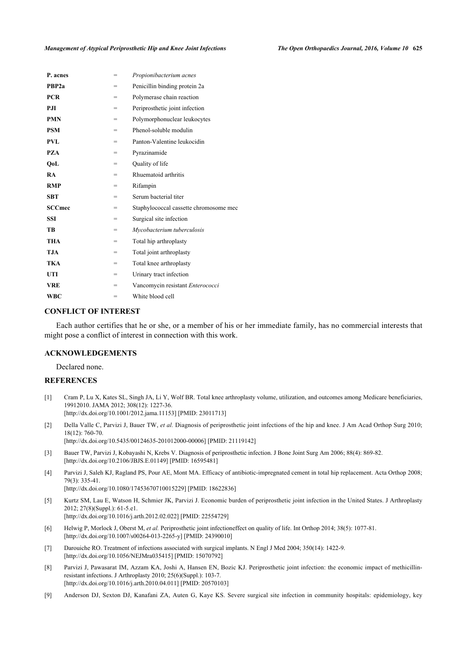| P. acnes          | =   | Propionibacterium acnes                |
|-------------------|-----|----------------------------------------|
| PBP <sub>2a</sub> | =   | Penicillin binding protein 2a          |
| <b>PCR</b>        | $=$ | Polymerase chain reaction              |
| PЛ                | $=$ | Periprosthetic joint infection         |
| <b>PMN</b>        | $=$ | Polymorphonuclear leukocytes           |
| <b>PSM</b>        | $=$ | Phenol-soluble modulin                 |
| <b>PVL</b>        | =   | Panton-Valentine leukocidin            |
| <b>PZA</b>        | $=$ | Pyrazinamide                           |
| OoL               | =   | Quality of life                        |
| <b>RA</b>         | $=$ | Rhuematoid arthritis                   |
| <b>RMP</b>        | =   | Rifampin                               |
| <b>SBT</b>        | $=$ | Serum bacterial titer                  |
| <b>SCCmec</b>     | =   | Staphylococcal cassette chromosome mec |
| <b>SSI</b>        | =   | Surgical site infection                |
| TB                | =   | Mycobacterium tuberculosis             |
| <b>THA</b>        | =   | Total hip arthroplasty                 |
| <b>TJA</b>        | =   | Total joint arthroplasty               |
| <b>TKA</b>        | $=$ | Total knee arthroplasty                |
| UTI               | $=$ | Urinary tract infection                |
| <b>VRE</b>        | =   | Vancomycin resistant Enterococci       |
| <b>WBC</b>        | =   | White blood cell                       |

# **CONFLICT OF INTEREST**

Each author certifies that he or she, or a member of his or her immediate family, has no commercial interests that might pose a conflict of interest in connection with this work.

# **ACKNOWLEDGEMENTS**

Declared none.

# **REFERENCES**

<span id="page-10-0"></span>[1] Cram P, Lu X, Kates SL, Singh JA, Li Y, Wolf BR. Total knee arthroplasty volume, utilization, and outcomes among Medicare beneficiaries, 19912010. JAMA 2012; 308(12): 1227-36. [\[http://dx.doi.org/10.1001/2012.jama.11153](http://dx.doi.org/10.1001/2012.jama.11153)] [PMID: [23011713\]](http://www.ncbi.nlm.nih.gov/pubmed/23011713)

<span id="page-10-1"></span>[2] Della Valle C, Parvizi J, Bauer TW, *et al.* Diagnosis of periprosthetic joint infections of the hip and knee. J Am Acad Orthop Surg 2010; 18(12): 760-70.

[\[http://dx.doi.org/10.5435/00124635-201012000-00006](http://dx.doi.org/10.5435/00124635-201012000-00006)] [PMID: [21119142\]](http://www.ncbi.nlm.nih.gov/pubmed/21119142)

- <span id="page-10-2"></span>[3] Bauer TW, Parvizi J, Kobayashi N, Krebs V. Diagnosis of periprosthetic infection. J Bone Joint Surg Am 2006; 88(4): 869-82. [\[http://dx.doi.org/10.2106/JBJS.E.01149\]](http://dx.doi.org/10.2106/JBJS.E.01149) [PMID: [16595481](http://www.ncbi.nlm.nih.gov/pubmed/16595481)]
- <span id="page-10-3"></span>[4] Parvizi J, Saleh KJ, Ragland PS, Pour AE, Mont MA. Efficacy of antibiotic-impregnated cement in total hip replacement. Acta Orthop 2008; 79(3): 335-41. [\[http://dx.doi.org/10.1080/17453670710015229\]](http://dx.doi.org/10.1080/17453670710015229) [PMID: [18622836](http://www.ncbi.nlm.nih.gov/pubmed/18622836)]
- <span id="page-10-4"></span>[5] Kurtz SM, Lau E, Watson H, Schmier JK, Parvizi J. Economic burden of periprosthetic joint infection in the United States. J Arthroplasty 2012; 27(8)(Suppl.): 61-5.e1.

[\[http://dx.doi.org/10.1016/j.arth.2012.02.022](http://dx.doi.org/10.1016/j.arth.2012.02.022)] [PMID: [22554729](http://www.ncbi.nlm.nih.gov/pubmed/22554729)]

- <span id="page-10-5"></span>[6] Helwig P, Morlock J, Oberst M, *et al.* Periprosthetic joint infectioneffect on quality of life. Int Orthop 2014; 38(5): 1077-81. [\[http://dx.doi.org/10.1007/s00264-013-2265-y\]](http://dx.doi.org/10.1007/s00264-013-2265-y) [PMID: [24390010](http://www.ncbi.nlm.nih.gov/pubmed/24390010)]
- <span id="page-10-6"></span>[7] Darouiche RO. Treatment of infections associated with surgical implants. N Engl J Med 2004; 350(14): 1422-9. [\[http://dx.doi.org/10.1056/NEJMra035415\]](http://dx.doi.org/10.1056/NEJMra035415) [PMID: [15070792](http://www.ncbi.nlm.nih.gov/pubmed/15070792)]
- <span id="page-10-7"></span>[8] Parvizi J, Pawasarat IM, Azzam KA, Joshi A, Hansen EN, Bozic KJ. Periprosthetic joint infection: the economic impact of methicillinresistant infections. J Arthroplasty 2010; 25(6)(Suppl.): 103-7. [\[http://dx.doi.org/10.1016/j.arth.2010.04.011](http://dx.doi.org/10.1016/j.arth.2010.04.011)] [PMID: [20570103](http://www.ncbi.nlm.nih.gov/pubmed/20570103)]
- <span id="page-10-8"></span>[9] Anderson DJ, Sexton DJ, Kanafani ZA, Auten G, Kaye KS. Severe surgical site infection in community hospitals: epidemiology, key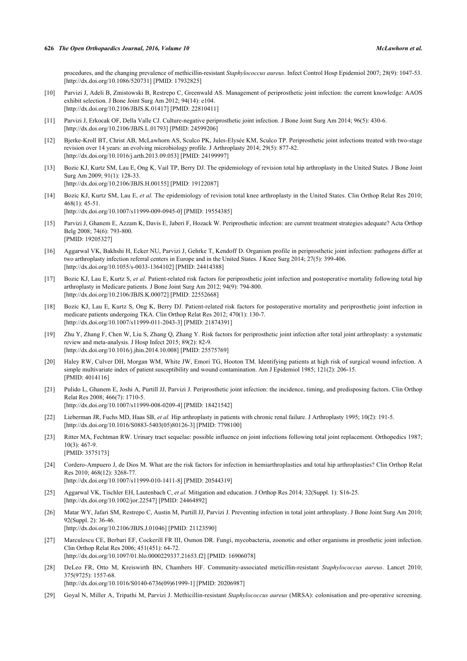procedures, and the changing prevalence of methicillin-resistant *Staphylococcus aureus*. Infect Control Hosp Epidemiol 2007; 28(9): 1047-53. [\[http://dx.doi.org/10.1086/520731\]](http://dx.doi.org/10.1086/520731) [PMID: [17932825](http://www.ncbi.nlm.nih.gov/pubmed/17932825)]

- <span id="page-11-0"></span>[10] Parvizi J, Adeli B, Zmistowski B, Restrepo C, Greenwald AS. Management of periprosthetic joint infection: the current knowledge: AAOS exhibit selection. J Bone Joint Surg Am 2012; 94(14): e104. [\[http://dx.doi.org/10.2106/JBJS.K.01417\]](http://dx.doi.org/10.2106/JBJS.K.01417) [PMID: [22810411](http://www.ncbi.nlm.nih.gov/pubmed/22810411)]
- <span id="page-11-1"></span>[11] Parvizi J, Erkocak OF, Della Valle CJ. Culture-negative periprosthetic joint infection. J Bone Joint Surg Am 2014; 96(5): 430-6. [\[http://dx.doi.org/10.2106/JBJS.L.01793\]](http://dx.doi.org/10.2106/JBJS.L.01793) [PMID: [24599206](http://www.ncbi.nlm.nih.gov/pubmed/24599206)]
- <span id="page-11-2"></span>[12] Bjerke-Kroll BT, Christ AB, McLawhorn AS, Sculco PK, Jules-Elysée KM, Sculco TP. Periprosthetic joint infections treated with two-stage revision over 14 years: an evolving microbiology profile. J Arthroplasty 2014; 29(5): 877-82. [\[http://dx.doi.org/10.1016/j.arth.2013.09.053](http://dx.doi.org/10.1016/j.arth.2013.09.053)] [PMID: [24199997](http://www.ncbi.nlm.nih.gov/pubmed/24199997)]
- <span id="page-11-3"></span>[13] Bozic KJ, Kurtz SM, Lau E, Ong K, Vail TP, Berry DJ. The epidemiology of revision total hip arthroplasty in the United States. J Bone Joint Surg Am 2009; 91(1): 128-33. [\[http://dx.doi.org/10.2106/JBJS.H.00155\]](http://dx.doi.org/10.2106/JBJS.H.00155) [PMID: [19122087](http://www.ncbi.nlm.nih.gov/pubmed/19122087)]
- <span id="page-11-4"></span>[14] Bozic KJ, Kurtz SM, Lau E, *et al.* The epidemiology of revision total knee arthroplasty in the United States. Clin Orthop Relat Res 2010;  $468(1)$ : 45-51. [\[http://dx.doi.org/10.1007/s11999-009-0945-0\]](http://dx.doi.org/10.1007/s11999-009-0945-0) [PMID: [19554385](http://www.ncbi.nlm.nih.gov/pubmed/19554385)]
- <span id="page-11-5"></span>[15] Parvizi J, Ghanem E, Azzam K, Davis E, Jaberi F, Hozack W. Periprosthetic infection: are current treatment strategies adequate? Acta Orthop Belg 2008; 74(6): 793-800. [PMID: [19205327\]](http://www.ncbi.nlm.nih.gov/pubmed/19205327)
- <span id="page-11-6"></span>[16] Aggarwal VK, Bakhshi H, Ecker NU, Parvizi J, Gehrke T, Kendoff D. Organism profile in periprosthetic joint infection: pathogens differ at two arthroplasty infection referral centers in Europe and in the United States. J Knee Surg 2014; 27(5): 399-406. [\[http://dx.doi.org/10.1055/s-0033-1364102](http://dx.doi.org/10.1055/s-0033-1364102)] [PMID: [24414388\]](http://www.ncbi.nlm.nih.gov/pubmed/24414388)
- <span id="page-11-7"></span>[17] Bozic KJ, Lau E, Kurtz S, *et al.* Patient-related risk factors for periprosthetic joint infection and postoperative mortality following total hip arthroplasty in Medicare patients. J Bone Joint Surg Am 2012; 94(9): 794-800. [\[http://dx.doi.org/10.2106/JBJS.K.00072\]](http://dx.doi.org/10.2106/JBJS.K.00072) [PMID: [22552668](http://www.ncbi.nlm.nih.gov/pubmed/22552668)]
- <span id="page-11-8"></span>[18] Bozic KJ, Lau E, Kurtz S, Ong K, Berry DJ. Patient-related risk factors for postoperative mortality and periprosthetic joint infection in medicare patients undergoing TKA. Clin Orthop Relat Res 2012; 470(1): 130-7. [\[http://dx.doi.org/10.1007/s11999-011-2043-3\]](http://dx.doi.org/10.1007/s11999-011-2043-3) [PMID: [21874391](http://www.ncbi.nlm.nih.gov/pubmed/21874391)]
- <span id="page-11-9"></span>[19] Zhu Y, Zhang F, Chen W, Liu S, Zhang Q, Zhang Y. Risk factors for periprosthetic joint infection after total joint arthroplasty: a systematic review and meta-analysis. J Hosp Infect 2015; 89(2): 82-9. [\[http://dx.doi.org/10.1016/j.jhin.2014.10.008](http://dx.doi.org/10.1016/j.jhin.2014.10.008)] [PMID: [25575769](http://www.ncbi.nlm.nih.gov/pubmed/25575769)]
- <span id="page-11-10"></span>[20] Haley RW, Culver DH, Morgan WM, White JW, Emori TG, Hooton TM. Identifying patients at high risk of surgical wound infection. A simple multivariate index of patient susceptibility and wound contamination. Am J Epidemiol 1985; 121(2): 206-15. [PMID: [4014116\]](http://www.ncbi.nlm.nih.gov/pubmed/4014116)
- <span id="page-11-11"></span>[21] Pulido L, Ghanem E, Joshi A, Purtill JJ, Parvizi J. Periprosthetic joint infection: the incidence, timing, and predisposing factors. Clin Orthop Relat Res 2008; 466(7): 1710-5. [\[http://dx.doi.org/10.1007/s11999-008-0209-4\]](http://dx.doi.org/10.1007/s11999-008-0209-4) [PMID: [18421542](http://www.ncbi.nlm.nih.gov/pubmed/18421542)]
- [22] Lieberman JR, Fuchs MD, Haas SB, *et al.* Hip arthroplasty in patients with chronic renal failure. J Arthroplasty 1995; 10(2): 191-5. [\[http://dx.doi.org/10.1016/S0883-5403\(05\)80126-3\]](http://dx.doi.org/10.1016/S0883-5403(05)80126-3) [PMID: [7798100](http://www.ncbi.nlm.nih.gov/pubmed/7798100)]
- [23] Ritter MA, Fechtman RW. Urinary tract sequelae: possible influence on joint infections following total joint replacement. Orthopedics 1987; 10(3): 467-9. [PMID: [3575173\]](http://www.ncbi.nlm.nih.gov/pubmed/3575173)
- <span id="page-11-12"></span>[24] Cordero-Ampuero J, de Dios M. What are the risk factors for infection in hemiarthroplasties and total hip arthroplasties? Clin Orthop Relat Res 2010; 468(12): 3268-77. [\[http://dx.doi.org/10.1007/s11999-010-1411-8\]](http://dx.doi.org/10.1007/s11999-010-1411-8) [PMID: [20544319](http://www.ncbi.nlm.nih.gov/pubmed/20544319)]
- <span id="page-11-13"></span>[25] Aggarwal VK, Tischler EH, Lautenbach C, *et al.* Mitigation and education. J Orthop Res 2014; 32(Suppl. 1): S16-25. [\[http://dx.doi.org/10.1002/jor.22547\]](http://dx.doi.org/10.1002/jor.22547) [PMID: [24464892](http://www.ncbi.nlm.nih.gov/pubmed/24464892)]
- <span id="page-11-14"></span>[26] Matar WY, Jafari SM, Restrepo C, Austin M, Purtill JJ, Parvizi J. Preventing infection in total joint arthroplasty. J Bone Joint Surg Am 2010; 92(Suppl. 2): 36-46. [\[http://dx.doi.org/10.2106/JBJS.J.01046\]](http://dx.doi.org/10.2106/JBJS.J.01046) [PMID: [21123590](http://www.ncbi.nlm.nih.gov/pubmed/21123590)]
- <span id="page-11-15"></span>[27] Marculescu CE, Berbari EF, Cockerill FR III, Osmon DR. Fungi, mycobacteria, zoonotic and other organisms in prosthetic joint infection. Clin Orthop Relat Res 2006; 451(451): 64-72. [\[http://dx.doi.org/10.1097/01.blo.0000229337.21653.f2\]](http://dx.doi.org/10.1097/01.blo.0000229337.21653.f2) [PMID: [16906078](http://www.ncbi.nlm.nih.gov/pubmed/16906078)]
- <span id="page-11-16"></span>[28] DeLeo FR, Otto M, Kreiswirth BN, Chambers HF. Community-associated meticillin-resistant *Staphylococcus aureus*. Lancet 2010; 375(9725): 1557-68. [\[http://dx.doi.org/10.1016/S0140-6736\(09\)61999-1\]](http://dx.doi.org/10.1016/S0140-6736(09)61999-1) [PMID: [20206987](http://www.ncbi.nlm.nih.gov/pubmed/20206987)]
- <span id="page-11-17"></span>[29] Goyal N, Miller A, Tripathi M, Parvizi J. Methicillin-resistant *Staphylococcus aureus* (MRSA): colonisation and pre-operative screening.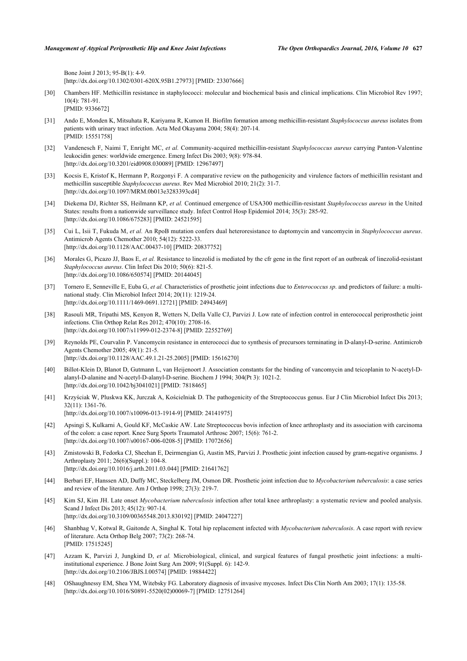Bone Joint J 2013; 95-B(1): 4-9. [\[http://dx.doi.org/10.1302/0301-620X.95B1.27973\]](http://dx.doi.org/10.1302/0301-620X.95B1.27973) [PMID: [23307666](http://www.ncbi.nlm.nih.gov/pubmed/23307666)]

- <span id="page-12-0"></span>[30] Chambers HF. Methicillin resistance in staphylococci: molecular and biochemical basis and clinical implications. Clin Microbiol Rev 1997; 10(4): 781-91. [PMID: [9336672\]](http://www.ncbi.nlm.nih.gov/pubmed/9336672)
- <span id="page-12-1"></span>[31] Ando E, Monden K, Mitsuhata R, Kariyama R, Kumon H. Biofilm formation among methicillin-resistant *Staphylococcus aureus* isolates from patients with urinary tract infection. Acta Med Okayama 2004; 58(4): 207-14. [PMID: [15551758\]](http://www.ncbi.nlm.nih.gov/pubmed/15551758)
- <span id="page-12-2"></span>[32] Vandenesch F, Naimi T, Enright MC, *et al.* Community-acquired methicillin-resistant *Staphylococcus aureus* carrying Panton-Valentine leukocidin genes: worldwide emergence. Emerg Infect Dis 2003; 9(8): 978-84. [\[http://dx.doi.org/10.3201/eid0908.030089\]](http://dx.doi.org/10.3201/eid0908.030089) [PMID: [12967497](http://www.ncbi.nlm.nih.gov/pubmed/12967497)]
- <span id="page-12-3"></span>[33] Kocsis E, Kristof K, Hermann P, Rozgonyi F. A comparative review on the pathogenicity and virulence factors of methicillin resistant and methicillin susceptible *Staphylococcus aureus*. Rev Med Microbiol 2010; 21(2): 31-7. [\[http://dx.doi.org/10.1097/MRM.0b013e3283393cd4](http://dx.doi.org/10.1097/MRM.0b013e3283393cd4)]
- <span id="page-12-4"></span>[34] Diekema DJ, Richter SS, Heilmann KP, *et al.* Continued emergence of USA300 methicillin-resistant *Staphylococcus aureus* in the United States: results from a nationwide surveillance study. Infect Control Hosp Epidemiol 2014; 35(3): 285-92. [\[http://dx.doi.org/10.1086/675283\]](http://dx.doi.org/10.1086/675283) [PMID: [24521595](http://www.ncbi.nlm.nih.gov/pubmed/24521595)]
- <span id="page-12-5"></span>[35] Cui L, Isii T, Fukuda M, *et al.* An RpoB mutation confers dual heteroresistance to daptomycin and vancomycin in *Staphylococcus aureus*. Antimicrob Agents Chemother 2010; 54(12): 5222-33. [\[http://dx.doi.org/10.1128/AAC.00437-10](http://dx.doi.org/10.1128/AAC.00437-10)] [PMID: [20837752\]](http://www.ncbi.nlm.nih.gov/pubmed/20837752)
- <span id="page-12-6"></span>[36] Morales G, Picazo JJ, Baos E, *et al.* Resistance to linezolid is mediated by the cfr gene in the first report of an outbreak of linezolid-resistant *Staphylococcus aureus*. Clin Infect Dis 2010; 50(6): 821-5. [\[http://dx.doi.org/10.1086/650574\]](http://dx.doi.org/10.1086/650574) [PMID: [20144045](http://www.ncbi.nlm.nih.gov/pubmed/20144045)]
- <span id="page-12-7"></span>[37] Tornero E, Senneville E, Euba G, *et al.* Characteristics of prosthetic joint infections due to *Enterococcus sp*. and predictors of failure: a multinational study. Clin Microbiol Infect 2014; 20(11): 1219-24. [\[http://dx.doi.org/10.1111/1469-0691.12721](http://dx.doi.org/10.1111/1469-0691.12721)] [PMID: [24943469](http://www.ncbi.nlm.nih.gov/pubmed/24943469)]
- <span id="page-12-8"></span>[38] Rasouli MR, Tripathi MS, Kenyon R, Wetters N, Della Valle CJ, Parvizi J. Low rate of infection control in enterococcal periprosthetic joint infections. Clin Orthop Relat Res 2012; 470(10): 2708-16. [\[http://dx.doi.org/10.1007/s11999-012-2374-8\]](http://dx.doi.org/10.1007/s11999-012-2374-8) [PMID: [22552769](http://www.ncbi.nlm.nih.gov/pubmed/22552769)]
- <span id="page-12-9"></span>[39] Reynolds PE, Courvalin P. Vancomycin resistance in enterococci due to synthesis of precursors terminating in D-alanyl-D-serine. Antimicrob Agents Chemother 2005; 49(1): 21-5. [\[http://dx.doi.org/10.1128/AAC.49.1.21-25.2005](http://dx.doi.org/10.1128/AAC.49.1.21-25.2005)] [PMID: [15616270\]](http://www.ncbi.nlm.nih.gov/pubmed/15616270)
- <span id="page-12-10"></span>[40] Billot-Klein D, Blanot D, Gutmann L, van Heijenoort J. Association constants for the binding of vancomycin and teicoplanin to N-acetyl-Dalanyl-D-alanine and N-acetyl-D-alanyl-D-serine. Biochem J 1994; 304(Pt 3): 1021-2. [\[http://dx.doi.org/10.1042/bj3041021](http://dx.doi.org/10.1042/bj3041021)] [PMID: [7818465\]](http://www.ncbi.nlm.nih.gov/pubmed/7818465)
- <span id="page-12-11"></span>[41] Krzyściak W, Pluskwa KK, Jurczak A, Kościelniak D. The pathogenicity of the Streptococcus genus. Eur J Clin Microbiol Infect Dis 2013; 32(11): 1361-76.
	- [\[http://dx.doi.org/10.1007/s10096-013-1914-9\]](http://dx.doi.org/10.1007/s10096-013-1914-9) [PMID: [24141975](http://www.ncbi.nlm.nih.gov/pubmed/24141975)]
- <span id="page-12-12"></span>[42] Apsingi S, Kulkarni A, Gould KF, McCaskie AW. Late Streptococcus bovis infection of knee arthroplasty and its association with carcinoma of the colon: a case report. Knee Surg Sports Traumatol Arthrosc 2007; 15(6): 761-2. [\[http://dx.doi.org/10.1007/s00167-006-0208-5\]](http://dx.doi.org/10.1007/s00167-006-0208-5) [PMID: [17072656](http://www.ncbi.nlm.nih.gov/pubmed/17072656)]
- <span id="page-12-13"></span>[43] Zmistowski B, Fedorka CJ, Sheehan E, Deirmengian G, Austin MS, Parvizi J. Prosthetic joint infection caused by gram-negative organisms. J Arthroplasty 2011; 26(6)(Suppl.): 104-8. [\[http://dx.doi.org/10.1016/j.arth.2011.03.044](http://dx.doi.org/10.1016/j.arth.2011.03.044)] [PMID: [21641762](http://www.ncbi.nlm.nih.gov/pubmed/21641762)]
- <span id="page-12-14"></span>[44] Berbari EF, Hanssen AD, Duffy MC, Steckelberg JM, Osmon DR. Prosthetic joint infection due to *Mycobacterium tuberculosis*: a case series and review of the literature. Am J Orthop 1998; 27(3): 219-7.
- <span id="page-12-15"></span>[45] Kim SJ, Kim JH. Late onset *Mycobacterium tuberculosis* infection after total knee arthroplasty: a systematic review and pooled analysis. Scand J Infect Dis 2013; 45(12): 907-14. [\[http://dx.doi.org/10.3109/00365548.2013.830192\]](http://dx.doi.org/10.3109/00365548.2013.830192) [PMID: [24047227](http://www.ncbi.nlm.nih.gov/pubmed/24047227)]
- <span id="page-12-16"></span>[46] Shanbhag V, Kotwal R, Gaitonde A, Singhal K. Total hip replacement infected with *Mycobacterium tuberculosis*. A case report with review of literature. Acta Orthop Belg 2007; 73(2): 268-74. [PMID: [17515245\]](http://www.ncbi.nlm.nih.gov/pubmed/17515245)
- <span id="page-12-17"></span>[47] Azzam K, Parvizi J, Jungkind D, *et al.* Microbiological, clinical, and surgical features of fungal prosthetic joint infections: a multiinstitutional experience. J Bone Joint Surg Am 2009; 91(Suppl. 6): 142-9. [\[http://dx.doi.org/10.2106/JBJS.I.00574](http://dx.doi.org/10.2106/JBJS.I.00574)] [PMID: [19884422](http://www.ncbi.nlm.nih.gov/pubmed/19884422)]
- <span id="page-12-18"></span>[48] OShaughnessy EM, Shea YM, Witebsky FG. Laboratory diagnosis of invasive mycoses. Infect Dis Clin North Am 2003; 17(1): 135-58. [\[http://dx.doi.org/10.1016/S0891-5520\(02\)00069-7\]](http://dx.doi.org/10.1016/S0891-5520(02)00069-7) [PMID: [12751264](http://www.ncbi.nlm.nih.gov/pubmed/12751264)]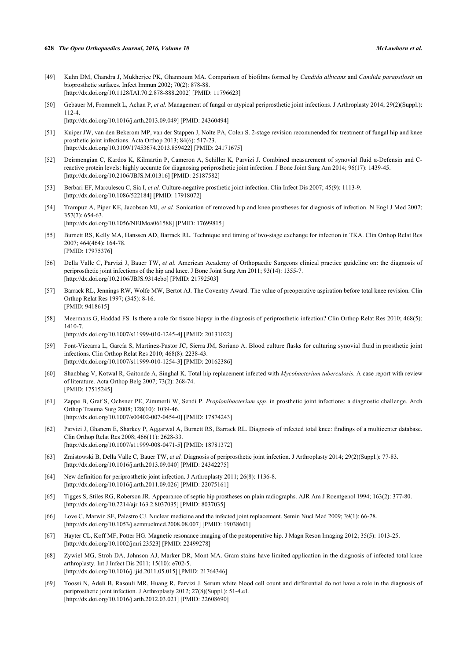- <span id="page-13-0"></span>[49] Kuhn DM, Chandra J, Mukherjee PK, Ghannoum MA. Comparison of biofilms formed by *Candida albicans* and *Candida parapsilosis* on bioprosthetic surfaces. Infect Immun 2002; 70(2): 878-88. [\[http://dx.doi.org/10.1128/IAI.70.2.878-888.2002\]](http://dx.doi.org/10.1128/IAI.70.2.878-888.2002) [PMID: [11796623](http://www.ncbi.nlm.nih.gov/pubmed/11796623)]
- <span id="page-13-1"></span>[50] Gebauer M, Frommelt L, Achan P, *et al.* Management of fungal or atypical periprosthetic joint infections. J Arthroplasty 2014; 29(2)(Suppl.): 112-4. [\[http://dx.doi.org/10.1016/j.arth.2013.09.049](http://dx.doi.org/10.1016/j.arth.2013.09.049)] [PMID: [24360494](http://www.ncbi.nlm.nih.gov/pubmed/24360494)]
- <span id="page-13-2"></span>[51] Kuiper JW, van den Bekerom MP, van der Stappen J, Nolte PA, Colen S. 2-stage revision recommended for treatment of fungal hip and knee prosthetic joint infections. Acta Orthop 2013; 84(6): 517-23. [\[http://dx.doi.org/10.3109/17453674.2013.859422\]](http://dx.doi.org/10.3109/17453674.2013.859422) [PMID: [24171675](http://www.ncbi.nlm.nih.gov/pubmed/24171675)]
- <span id="page-13-3"></span>[52] Deirmengian C, Kardos K, Kilmartin P, Cameron A, Schiller K, Parvizi J. Combined measurement of synovial fluid α-Defensin and Creactive protein levels: highly accurate for diagnosing periprosthetic joint infection. J Bone Joint Surg Am 2014; 96(17): 1439-45. [\[http://dx.doi.org/10.2106/JBJS.M.01316\]](http://dx.doi.org/10.2106/JBJS.M.01316) [PMID: [25187582](http://www.ncbi.nlm.nih.gov/pubmed/25187582)]
- <span id="page-13-4"></span>[53] Berbari EF, Marculescu C, Sia I, *et al.* Culture-negative prosthetic joint infection. Clin Infect Dis 2007; 45(9): 1113-9. [\[http://dx.doi.org/10.1086/522184\]](http://dx.doi.org/10.1086/522184) [PMID: [17918072](http://www.ncbi.nlm.nih.gov/pubmed/17918072)]
- <span id="page-13-7"></span>[54] Trampuz A, Piper KE, Jacobson MJ, *et al.* Sonication of removed hip and knee prostheses for diagnosis of infection. N Engl J Med 2007; 357(7): 654-63. [\[http://dx.doi.org/10.1056/NEJMoa061588](http://dx.doi.org/10.1056/NEJMoa061588)] [PMID: [17699815\]](http://www.ncbi.nlm.nih.gov/pubmed/17699815)
- <span id="page-13-5"></span>[55] Burnett RS, Kelly MA, Hanssen AD, Barrack RL. Technique and timing of two-stage exchange for infection in TKA. Clin Orthop Relat Res 2007; 464(464): 164-78. [PMID: [17975376\]](http://www.ncbi.nlm.nih.gov/pubmed/17975376)
- <span id="page-13-8"></span>[56] Della Valle C, Parvizi J, Bauer TW, *et al.* American Academy of Orthopaedic Surgeons clinical practice guideline on: the diagnosis of periprosthetic joint infections of the hip and knee. J Bone Joint Surg Am 2011; 93(14): 1355-7. [\[http://dx.doi.org/10.2106/JBJS.9314ebo](http://dx.doi.org/10.2106/JBJS.9314ebo)] [PMID: [21792503\]](http://www.ncbi.nlm.nih.gov/pubmed/21792503)
- <span id="page-13-9"></span>[57] Barrack RL, Jennings RW, Wolfe MW, Bertot AJ. The Coventry Award. The value of preoperative aspiration before total knee revision. Clin Orthop Relat Res 1997; (345): 8-16. [PMID: [9418615\]](http://www.ncbi.nlm.nih.gov/pubmed/9418615)
- <span id="page-13-10"></span>[58] Meermans G, Haddad FS. Is there a role for tissue biopsy in the diagnosis of periprosthetic infection? Clin Orthop Relat Res 2010; 468(5): 1410-7.

[\[http://dx.doi.org/10.1007/s11999-010-1245-4\]](http://dx.doi.org/10.1007/s11999-010-1245-4) [PMID: [20131022](http://www.ncbi.nlm.nih.gov/pubmed/20131022)]

- <span id="page-13-11"></span>[59] Font-Vizcarra L, García S, Martínez-Pastor JC, Sierra JM, Soriano A. Blood culture flasks for culturing synovial fluid in prosthetic joint infections. Clin Orthop Relat Res 2010; 468(8): 2238-43. [\[http://dx.doi.org/10.1007/s11999-010-1254-3\]](http://dx.doi.org/10.1007/s11999-010-1254-3) [PMID: [20162386](http://www.ncbi.nlm.nih.gov/pubmed/20162386)]
- <span id="page-13-12"></span>[60] Shanbhag V, Kotwal R, Gaitonde A, Singhal K. Total hip replacement infected with *Mycobacterium tuberculosis*. A case report with review of literature. Acta Orthop Belg 2007; 73(2): 268-74. [PMID: [17515245\]](http://www.ncbi.nlm.nih.gov/pubmed/17515245)
- <span id="page-13-13"></span>[61] Zappe B, Graf S, Ochsner PE, Zimmerli W, Sendi P. *Propionibacterium spp.* in prosthetic joint infections: a diagnostic challenge. Arch Orthop Trauma Surg 2008; 128(10): 1039-46. [\[http://dx.doi.org/10.1007/s00402-007-0454-0\]](http://dx.doi.org/10.1007/s00402-007-0454-0) [PMID: [17874243](http://www.ncbi.nlm.nih.gov/pubmed/17874243)]
- <span id="page-13-14"></span>[62] Parvizi J, Ghanem E, Sharkey P, Aggarwal A, Burnett RS, Barrack RL. Diagnosis of infected total knee: findings of a multicenter database. Clin Orthop Relat Res 2008; 466(11): 2628-33. [\[http://dx.doi.org/10.1007/s11999-008-0471-5\]](http://dx.doi.org/10.1007/s11999-008-0471-5) [PMID: [18781372](http://www.ncbi.nlm.nih.gov/pubmed/18781372)]
- <span id="page-13-6"></span>[63] Zmistowski B, Della Valle C, Bauer TW, *et al.* Diagnosis of periprosthetic joint infection. J Arthroplasty 2014; 29(2)(Suppl.): 77-83. [\[http://dx.doi.org/10.1016/j.arth.2013.09.040](http://dx.doi.org/10.1016/j.arth.2013.09.040)] [PMID: [24342275](http://www.ncbi.nlm.nih.gov/pubmed/24342275)]
- <span id="page-13-15"></span>[64] New definition for periprosthetic joint infection. J Arthroplasty 2011; 26(8): 1136-8. [\[http://dx.doi.org/10.1016/j.arth.2011.09.026](http://dx.doi.org/10.1016/j.arth.2011.09.026)] [PMID: [22075161](http://www.ncbi.nlm.nih.gov/pubmed/22075161)]
- <span id="page-13-16"></span>[65] Tigges S, Stiles RG, Roberson JR. Appearance of septic hip prostheses on plain radiographs. AJR Am J Roentgenol 1994; 163(2): 377-80. [\[http://dx.doi.org/10.2214/ajr.163.2.8037035](http://dx.doi.org/10.2214/ajr.163.2.8037035)] [PMID: [8037035\]](http://www.ncbi.nlm.nih.gov/pubmed/8037035)
- <span id="page-13-17"></span>[66] Love C, Marwin SE, Palestro CJ. Nuclear medicine and the infected joint replacement. Semin Nucl Med 2009; 39(1): 66-78. [\[http://dx.doi.org/10.1053/j.semnuclmed.2008.08.007](http://dx.doi.org/10.1053/j.semnuclmed.2008.08.007)] [PMID: [19038601](http://www.ncbi.nlm.nih.gov/pubmed/19038601)]
- <span id="page-13-18"></span>[67] Hayter CL, Koff MF, Potter HG. Magnetic resonance imaging of the postoperative hip. J Magn Reson Imaging 2012; 35(5): 1013-25. [\[http://dx.doi.org/10.1002/jmri.23523](http://dx.doi.org/10.1002/jmri.23523)] [PMID: [22499278\]](http://www.ncbi.nlm.nih.gov/pubmed/22499278)
- <span id="page-13-19"></span>[68] Zywiel MG, Stroh DA, Johnson AJ, Marker DR, Mont MA. Gram stains have limited application in the diagnosis of infected total knee arthroplasty. Int J Infect Dis 2011; 15(10): e702-5. [\[http://dx.doi.org/10.1016/j.ijid.2011.05.015\]](http://dx.doi.org/10.1016/j.ijid.2011.05.015) [PMID: [21764346](http://www.ncbi.nlm.nih.gov/pubmed/21764346)]
- <span id="page-13-20"></span>[69] Toossi N, Adeli B, Rasouli MR, Huang R, Parvizi J. Serum white blood cell count and differential do not have a role in the diagnosis of periprosthetic joint infection. J Arthroplasty 2012; 27(8)(Suppl.): 51-4.e1. [\[http://dx.doi.org/10.1016/j.arth.2012.03.021](http://dx.doi.org/10.1016/j.arth.2012.03.021)] [PMID: [22608690](http://www.ncbi.nlm.nih.gov/pubmed/22608690)]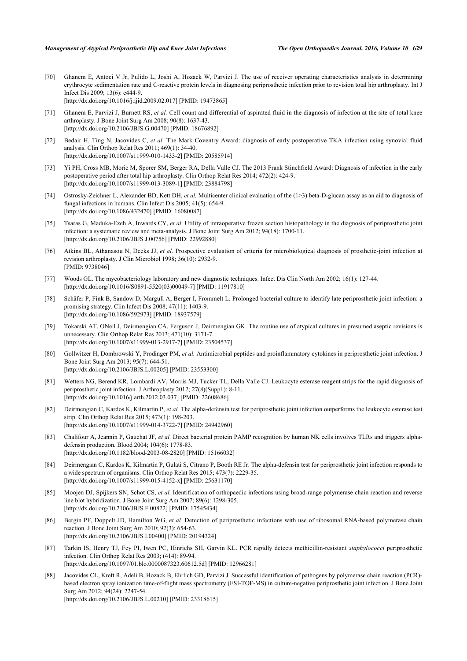- <span id="page-14-0"></span>[70] Ghanem E, Antoci V Jr, Pulido L, Joshi A, Hozack W, Parvizi J. The use of receiver operating characteristics analysis in determining erythrocyte sedimentation rate and C-reactive protein levels in diagnosing periprosthetic infection prior to revision total hip arthroplasty. Int J Infect Dis 2009; 13(6): e444-9. [\[http://dx.doi.org/10.1016/j.ijid.2009.02.017\]](http://dx.doi.org/10.1016/j.ijid.2009.02.017) [PMID: [19473865](http://www.ncbi.nlm.nih.gov/pubmed/19473865)]
- <span id="page-14-1"></span>[71] Ghanem E, Parvizi J, Burnett RS, *et al.* Cell count and differential of aspirated fluid in the diagnosis of infection at the site of total knee arthroplasty. J Bone Joint Surg Am 2008; 90(8): 1637-43. [\[http://dx.doi.org/10.2106/JBJS.G.00470\]](http://dx.doi.org/10.2106/JBJS.G.00470) [PMID: [18676892](http://www.ncbi.nlm.nih.gov/pubmed/18676892)]
- <span id="page-14-2"></span>[72] Bedair H, Ting N, Jacovides C, *et al.* The Mark Coventry Award: diagnosis of early postoperative TKA infection using synovial fluid analysis. Clin Orthop Relat Res 2011; 469(1): 34-40. [\[http://dx.doi.org/10.1007/s11999-010-1433-2\]](http://dx.doi.org/10.1007/s11999-010-1433-2) [PMID: [20585914](http://www.ncbi.nlm.nih.gov/pubmed/20585914)]
- <span id="page-14-3"></span>[73] Yi PH, Cross MB, Moric M, Sporer SM, Berger RA, Della Valle CJ. The 2013 Frank Stinchfield Award: Diagnosis of infection in the early postoperative period after total hip arthroplasty. Clin Orthop Relat Res 2014; 472(2): 424-9. [\[http://dx.doi.org/10.1007/s11999-013-3089-1\]](http://dx.doi.org/10.1007/s11999-013-3089-1) [PMID: [23884798](http://www.ncbi.nlm.nih.gov/pubmed/23884798)]
- <span id="page-14-4"></span>[74] Ostrosky-Zeichner L, Alexander BD, Kett DH, et al. Multicenter clinical evaluation of the (1>3) beta-D-glucan assay as an aid to diagnosis of fungal infections in humans. Clin Infect Dis 2005; 41(5): 654-9. [\[http://dx.doi.org/10.1086/432470\]](http://dx.doi.org/10.1086/432470) [PMID: [16080087](http://www.ncbi.nlm.nih.gov/pubmed/16080087)]
- <span id="page-14-5"></span>[75] Tsaras G, Maduka-Ezeh A, Inwards CY, et al. Utility of intraoperative frozen section histopathology in the diagnosis of periprosthetic joint infection: a systematic review and meta-analysis. J Bone Joint Surg Am 2012; 94(18): 1700-11. [\[http://dx.doi.org/10.2106/JBJS.J.00756\]](http://dx.doi.org/10.2106/JBJS.J.00756) [PMID: [22992880](http://www.ncbi.nlm.nih.gov/pubmed/22992880)]
- <span id="page-14-6"></span>[76] Atkins BL, Athanasou N, Deeks JJ, *et al.* Prospective evaluation of criteria for microbiological diagnosis of prosthetic-joint infection at revision arthroplasty. J Clin Microbiol 1998; 36(10): 2932-9. [PMID: [9738046\]](http://www.ncbi.nlm.nih.gov/pubmed/9738046)
- <span id="page-14-7"></span>[77] Woods GL. The mycobacteriology laboratory and new diagnostic techniques. Infect Dis Clin North Am 2002; 16(1): 127-44. [\[http://dx.doi.org/10.1016/S0891-5520\(03\)00049-7\]](http://dx.doi.org/10.1016/S0891-5520(03)00049-7) [PMID: [11917810](http://www.ncbi.nlm.nih.gov/pubmed/11917810)]
- <span id="page-14-8"></span>[78] Schäfer P, Fink B, Sandow D, Margull A, Berger I, Frommelt L. Prolonged bacterial culture to identify late periprosthetic joint infection: a promising strategy. Clin Infect Dis 2008; 47(11): 1403-9. [\[http://dx.doi.org/10.1086/592973\]](http://dx.doi.org/10.1086/592973) [PMID: [18937579](http://www.ncbi.nlm.nih.gov/pubmed/18937579)]
- <span id="page-14-9"></span>[79] Tokarski AT, ONeil J, Deirmengian CA, Ferguson J, Deirmengian GK. The routine use of atypical cultures in presumed aseptic revisions is unnecessary. Clin Orthop Relat Res 2013; 471(10): 3171-7. [\[http://dx.doi.org/10.1007/s11999-013-2917-7\]](http://dx.doi.org/10.1007/s11999-013-2917-7) [PMID: [23504537](http://www.ncbi.nlm.nih.gov/pubmed/23504537)]
- <span id="page-14-10"></span>[80] Gollwitzer H, Dombrowski Y, Prodinger PM, *et al.* Antimicrobial peptides and proinflammatory cytokines in periprosthetic joint infection. J Bone Joint Surg Am 2013; 95(7): 644-51. [\[http://dx.doi.org/10.2106/JBJS.L.00205\]](http://dx.doi.org/10.2106/JBJS.L.00205) [PMID: [23553300](http://www.ncbi.nlm.nih.gov/pubmed/23553300)]
- <span id="page-14-11"></span>[81] Wetters NG, Berend KR, Lombardi AV, Morris MJ, Tucker TL, Della Valle CJ. Leukocyte esterase reagent strips for the rapid diagnosis of periprosthetic joint infection. J Arthroplasty 2012; 27(8)(Suppl.): 8-11. [\[http://dx.doi.org/10.1016/j.arth.2012.03.037](http://dx.doi.org/10.1016/j.arth.2012.03.037)] [PMID: [22608686](http://www.ncbi.nlm.nih.gov/pubmed/22608686)]
- <span id="page-14-12"></span>[82] Deirmengian C, Kardos K, Kilmartin P, *et al.* The alpha-defensin test for periprosthetic joint infection outperforms the leukocyte esterase test strip. Clin Orthop Relat Res 2015; 473(1): 198-203. [\[http://dx.doi.org/10.1007/s11999-014-3722-7\]](http://dx.doi.org/10.1007/s11999-014-3722-7) [PMID: [24942960](http://www.ncbi.nlm.nih.gov/pubmed/24942960)]
- <span id="page-14-13"></span>[83] Chalifour A, Jeannin P, Gauchat JF, *et al.* Direct bacterial protein PAMP recognition by human NK cells involves TLRs and triggers alphadefensin production. Blood 2004; 104(6): 1778-83. [\[http://dx.doi.org/10.1182/blood-2003-08-2820](http://dx.doi.org/10.1182/blood-2003-08-2820)] [PMID: [15166032\]](http://www.ncbi.nlm.nih.gov/pubmed/15166032)
- <span id="page-14-14"></span>[84] Deirmengian C, Kardos K, Kilmartin P, Gulati S, Citrano P, Booth RE Jr. The alpha-defensin test for periprosthetic joint infection responds to a wide spectrum of organisms. Clin Orthop Relat Res 2015; 473(7): 2229-35. [\[http://dx.doi.org/10.1007/s11999-015-4152-x\]](http://dx.doi.org/10.1007/s11999-015-4152-x) [PMID: [25631170](http://www.ncbi.nlm.nih.gov/pubmed/25631170)]
- <span id="page-14-15"></span>[85] Moojen DJ, Spijkers SN, Schot CS, *et al.* Identification of orthopaedic infections using broad-range polymerase chain reaction and reverse line blot hybridization. J Bone Joint Surg Am 2007; 89(6): 1298-305. [\[http://dx.doi.org/10.2106/JBJS.F.00822](http://dx.doi.org/10.2106/JBJS.F.00822)] [PMID: [17545434\]](http://www.ncbi.nlm.nih.gov/pubmed/17545434)
- <span id="page-14-16"></span>[86] Bergin PF, Doppelt JD, Hamilton WG, *et al.* Detection of periprosthetic infections with use of ribosomal RNA-based polymerase chain reaction. J Bone Joint Surg Am 2010; 92(3): 654-63. [\[http://dx.doi.org/10.2106/JBJS.I.00400](http://dx.doi.org/10.2106/JBJS.I.00400)] [PMID: [20194324](http://www.ncbi.nlm.nih.gov/pubmed/20194324)]
- <span id="page-14-17"></span>[87] Tarkin IS, Henry TJ, Fey PI, Iwen PC, Hinrichs SH, Garvin KL. PCR rapidly detects methicillin-resistant *staphylococci* periprosthetic infection. Clin Orthop Relat Res 2003; (414): 89-94. [\[http://dx.doi.org/10.1097/01.blo.0000087323.60612.5d](http://dx.doi.org/10.1097/01.blo.0000087323.60612.5d)] [PMID: [12966281\]](http://www.ncbi.nlm.nih.gov/pubmed/12966281)
- <span id="page-14-18"></span>[88] Jacovides CL, Kreft R, Adeli B, Hozack B, Ehrlich GD, Parvizi J. Successful identification of pathogens by polymerase chain reaction (PCR) based electron spray ionization time-of-flight mass spectrometry (ESI-TOF-MS) in culture-negative periprosthetic joint infection. J Bone Joint Surg Am 2012; 94(24): 2247-54. [\[http://dx.doi.org/10.2106/JBJS.L.00210\]](http://dx.doi.org/10.2106/JBJS.L.00210) [PMID: [23318615](http://www.ncbi.nlm.nih.gov/pubmed/23318615)]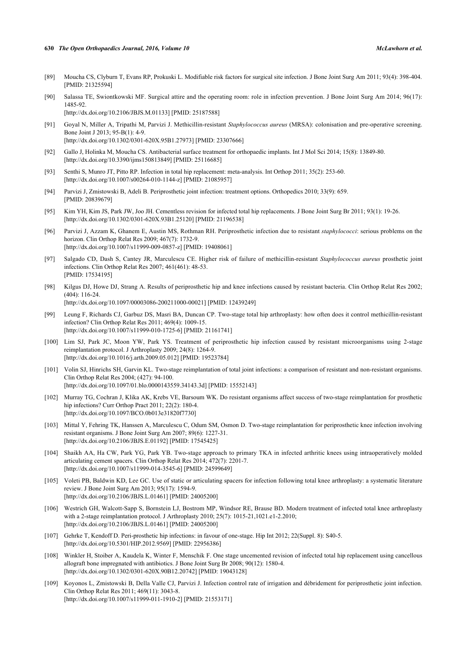#### **630** *The Open Orthopaedics Journal, 2016, Volume 10 McLawhorn et al.*

- <span id="page-15-0"></span>[89] Moucha CS, Clyburn T, Evans RP, Prokuski L. Modifiable risk factors for surgical site infection. J Bone Joint Surg Am 2011; 93(4): 398-404. [PMID: [21325594\]](http://www.ncbi.nlm.nih.gov/pubmed/21325594)
- <span id="page-15-1"></span>[90] Salassa TE, Swiontkowski MF. Surgical attire and the operating room: role in infection prevention. J Bone Joint Surg Am 2014; 96(17): 1485-92.

[\[http://dx.doi.org/10.2106/JBJS.M.01133\]](http://dx.doi.org/10.2106/JBJS.M.01133) [PMID: [25187588](http://www.ncbi.nlm.nih.gov/pubmed/25187588)]

- <span id="page-15-2"></span>[91] Goyal N, Miller A, Tripathi M, Parvizi J. Methicillin-resistant *Staphylococcus aureus* (MRSA): colonisation and pre-operative screening. Bone Joint J 2013; 95-B(1): 4-9. [\[http://dx.doi.org/10.1302/0301-620X.95B1.27973\]](http://dx.doi.org/10.1302/0301-620X.95B1.27973) [PMID: [23307666](http://www.ncbi.nlm.nih.gov/pubmed/23307666)]
- <span id="page-15-3"></span>[92] Gallo J, Holinka M, Moucha CS. Antibacterial surface treatment for orthopaedic implants. Int J Mol Sci 2014; 15(8): 13849-80. [\[http://dx.doi.org/10.3390/ijms150813849\]](http://dx.doi.org/10.3390/ijms150813849) [PMID: [25116685](http://www.ncbi.nlm.nih.gov/pubmed/25116685)]
- <span id="page-15-4"></span>[93] Senthi S, Munro JT, Pitto RP. Infection in total hip replacement: meta-analysis. Int Orthop 2011; 35(2): 253-60. [\[http://dx.doi.org/10.1007/s00264-010-1144-z](http://dx.doi.org/10.1007/s00264-010-1144-z)] [PMID: [21085957](http://www.ncbi.nlm.nih.gov/pubmed/21085957)]
- [94] Parvizi J, Zmistowski B, Adeli B. Periprosthetic joint infection: treatment options. Orthopedics 2010; 33(9): 659. [PMID: [20839679\]](http://www.ncbi.nlm.nih.gov/pubmed/20839679)
- <span id="page-15-5"></span>[95] Kim YH, Kim JS, Park JW, Joo JH. Cementless revision for infected total hip replacements. J Bone Joint Surg Br 2011; 93(1): 19-26. [\[http://dx.doi.org/10.1302/0301-620X.93B1.25120\]](http://dx.doi.org/10.1302/0301-620X.93B1.25120) [PMID: [21196538](http://www.ncbi.nlm.nih.gov/pubmed/21196538)]
- <span id="page-15-6"></span>[96] Parvizi J, Azzam K, Ghanem E, Austin MS, Rothman RH. Periprosthetic infection due to resistant *staphylococci*: serious problems on the horizon. Clin Orthop Relat Res 2009; 467(7): 1732-9. [\[http://dx.doi.org/10.1007/s11999-009-0857-z](http://dx.doi.org/10.1007/s11999-009-0857-z)] [PMID: [19408061](http://www.ncbi.nlm.nih.gov/pubmed/19408061)]
- <span id="page-15-14"></span>[97] Salgado CD, Dash S, Cantey JR, Marculescu CE. Higher risk of failure of methicillin-resistant *Staphylococcus aureus* prosthetic joint infections. Clin Orthop Relat Res 2007; 461(461): 48-53. [PMID: [17534195\]](http://www.ncbi.nlm.nih.gov/pubmed/17534195)
- [98] Kilgus DJ, Howe DJ, Strang A. Results of periprosthetic hip and knee infections caused by resistant bacteria. Clin Orthop Relat Res 2002; (404): 116-24. [\[http://dx.doi.org/10.1097/00003086-200211000-00021](http://dx.doi.org/10.1097/00003086-200211000-00021)] [PMID: [12439249\]](http://www.ncbi.nlm.nih.gov/pubmed/12439249)
- [99] Leung F, Richards CJ, Garbuz DS, Masri BA, Duncan CP. Two-stage total hip arthroplasty: how often does it control methicillin-resistant infection? Clin Orthop Relat Res 2011; 469(4): 1009-15. [\[http://dx.doi.org/10.1007/s11999-010-1725-6\]](http://dx.doi.org/10.1007/s11999-010-1725-6) [PMID: [21161741](http://www.ncbi.nlm.nih.gov/pubmed/21161741)]
- [100] Lim SJ, Park JC, Moon YW, Park YS. Treatment of periprosthetic hip infection caused by resistant microorganisms using 2-stage reimplantation protocol. J Arthroplasty 2009; 24(8): 1264-9. [\[http://dx.doi.org/10.1016/j.arth.2009.05.012](http://dx.doi.org/10.1016/j.arth.2009.05.012)] [PMID: [19523784](http://www.ncbi.nlm.nih.gov/pubmed/19523784)]
- [101] Volin SJ, Hinrichs SH, Garvin KL. Two-stage reimplantation of total joint infections: a comparison of resistant and non-resistant organisms. Clin Orthop Relat Res 2004; (427): 94-100. [\[http://dx.doi.org/10.1097/01.blo.0000143559.34143.3d](http://dx.doi.org/10.1097/01.blo.0000143559.34143.3d)] [PMID: [15552143\]](http://www.ncbi.nlm.nih.gov/pubmed/15552143)
- <span id="page-15-15"></span>[102] Murray TG, Cochran J, Klika AK, Krebs VE, Barsoum WK. Do resistant organisms affect success of two-stage reimplantation for prosthetic hip infections? Curr Orthop Pract 2011; 22(2): 180-4. [\[http://dx.doi.org/10.1097/BCO.0b013e31820f7730](http://dx.doi.org/10.1097/BCO.0b013e31820f7730)]
- <span id="page-15-7"></span>[103] Mittal Y, Fehring TK, Hanssen A, Marculescu C, Odum SM, Osmon D. Two-stage reimplantation for periprosthetic knee infection involving resistant organisms. J Bone Joint Surg Am 2007; 89(6): 1227-31. [\[http://dx.doi.org/10.2106/JBJS.E.01192\]](http://dx.doi.org/10.2106/JBJS.E.01192) [PMID: [17545425](http://www.ncbi.nlm.nih.gov/pubmed/17545425)]
- <span id="page-15-8"></span>[104] Shaikh AA, Ha CW, Park YG, Park YB. Two-stage approach to primary TKA in infected arthritic knees using intraoperatively molded articulating cement spacers. Clin Orthop Relat Res 2014; 472(7): 2201-7. [\[http://dx.doi.org/10.1007/s11999-014-3545-6\]](http://dx.doi.org/10.1007/s11999-014-3545-6) [PMID: [24599649](http://www.ncbi.nlm.nih.gov/pubmed/24599649)]
- <span id="page-15-9"></span>[105] Voleti PB, Baldwin KD, Lee GC. Use of static or articulating spacers for infection following total knee arthroplasty: a systematic literature review. J Bone Joint Surg Am 2013; 95(17): 1594-9. [\[http://dx.doi.org/10.2106/JBJS.L.01461\]](http://dx.doi.org/10.2106/JBJS.L.01461) [PMID: [24005200](http://www.ncbi.nlm.nih.gov/pubmed/24005200)]
- <span id="page-15-10"></span>[106] Westrich GH, Walcott-Sapp S, Bornstein LJ, Bostrom MP, Windsor RE, Brause BD. Modern treatment of infected total knee arthroplasty with a 2-stage reimplantation protocol. J Arthroplasty 2010; 25(7): 1015-21,1021.e1-2.2010; [\[http://dx.doi.org/10.2106/JBJS.L.01461\]](http://dx.doi.org/10.2106/JBJS.L.01461) [PMID: [24005200](http://www.ncbi.nlm.nih.gov/pubmed/24005200)]
- <span id="page-15-11"></span>[107] Gehrke T, Kendoff D. Peri-prosthetic hip infections: in favour of one-stage. Hip Int 2012; 22(Suppl. 8): S40-5. [\[http://dx.doi.org/10.5301/HIP.2012.9569\]](http://dx.doi.org/10.5301/HIP.2012.9569) [PMID: [22956386](http://www.ncbi.nlm.nih.gov/pubmed/22956386)]
- <span id="page-15-12"></span>[108] Winkler H, Stoiber A, Kaudela K, Winter F, Menschik F. One stage uncemented revision of infected total hip replacement using cancellous allograft bone impregnated with antibiotics. J Bone Joint Surg Br 2008; 90(12): 1580-4. [\[http://dx.doi.org/10.1302/0301-620X.90B12.20742\]](http://dx.doi.org/10.1302/0301-620X.90B12.20742) [PMID: [19043128](http://www.ncbi.nlm.nih.gov/pubmed/19043128)]
- <span id="page-15-13"></span>[109] Koyonos L, Zmistowski B, Della Valle CJ, Parvizi J. Infection control rate of irrigation and débridement for periprosthetic joint infection. Clin Orthop Relat Res 2011; 469(11): 3043-8. [\[http://dx.doi.org/10.1007/s11999-011-1910-2\]](http://dx.doi.org/10.1007/s11999-011-1910-2) [PMID: [21553171](http://www.ncbi.nlm.nih.gov/pubmed/21553171)]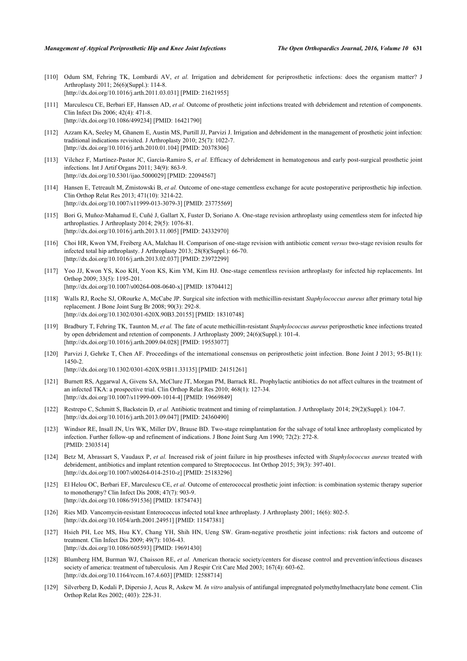- [110] Odum SM, Fehring TK, Lombardi AV, *et al.* Irrigation and debridement for periprosthetic infections: does the organism matter? J Arthroplasty 2011; 26(6)(Suppl.): 114-8. [\[http://dx.doi.org/10.1016/j.arth.2011.03.031](http://dx.doi.org/10.1016/j.arth.2011.03.031)] [PMID: [21621955](http://www.ncbi.nlm.nih.gov/pubmed/21621955)]
- [111] Marculescu CE, Berbari EF, Hanssen AD, *et al.* Outcome of prosthetic joint infections treated with debridement and retention of components. Clin Infect Dis 2006; 42(4): 471-8. [\[http://dx.doi.org/10.1086/499234\]](http://dx.doi.org/10.1086/499234) [PMID: [16421790](http://www.ncbi.nlm.nih.gov/pubmed/16421790)]
- <span id="page-16-3"></span>[112] Azzam KA, Seeley M, Ghanem E, Austin MS, Purtill JJ, Parvizi J. Irrigation and debridement in the management of prosthetic joint infection: traditional indications revisited. J Arthroplasty 2010; 25(7): 1022-7. [\[http://dx.doi.org/10.1016/j.arth.2010.01.104](http://dx.doi.org/10.1016/j.arth.2010.01.104)] [PMID: [20378306](http://www.ncbi.nlm.nih.gov/pubmed/20378306)]
- <span id="page-16-0"></span>[113] Vilchez F, Martínez-Pastor JC, García-Ramiro S, *et al.* Efficacy of debridement in hematogenous and early post-surgical prosthetic joint infections. Int J Artif Organs 2011; 34(9): 863-9. [\[http://dx.doi.org/10.5301/ijao.5000029\]](http://dx.doi.org/10.5301/ijao.5000029) [PMID: [22094567](http://www.ncbi.nlm.nih.gov/pubmed/22094567)]
- <span id="page-16-1"></span>[114] Hansen E, Tetreault M, Zmistowski B, *et al.* Outcome of one-stage cementless exchange for acute postoperative periprosthetic hip infection. Clin Orthop Relat Res 2013; 471(10): 3214-22. [\[http://dx.doi.org/10.1007/s11999-013-3079-3\]](http://dx.doi.org/10.1007/s11999-013-3079-3) [PMID: [23775569](http://www.ncbi.nlm.nih.gov/pubmed/23775569)]
- [115] Bori G, Muñoz-Mahamud E, Cuñé J, Gallart X, Fuster D, Soriano A. One-stage revision arthroplasty using cementless stem for infected hip arthroplasties. J Arthroplasty 2014; 29(5): 1076-81. [\[http://dx.doi.org/10.1016/j.arth.2013.11.005](http://dx.doi.org/10.1016/j.arth.2013.11.005)] [PMID: [24332970](http://www.ncbi.nlm.nih.gov/pubmed/24332970)]
- [116] Choi HR, Kwon YM, Freiberg AA, Malchau H. Comparison of one-stage revision with antibiotic cement *versus* two-stage revision results for infected total hip arthroplasty. J Arthroplasty 2013; 28(8)(Suppl.): 66-70. [\[http://dx.doi.org/10.1016/j.arth.2013.02.037](http://dx.doi.org/10.1016/j.arth.2013.02.037)] [PMID: [23972299](http://www.ncbi.nlm.nih.gov/pubmed/23972299)]
- <span id="page-16-2"></span>[117] Yoo JJ, Kwon YS, Koo KH, Yoon KS, Kim YM, Kim HJ. One-stage cementless revision arthroplasty for infected hip replacements. Int Orthop 2009; 33(5): 1195-201. [\[http://dx.doi.org/10.1007/s00264-008-0640-x\]](http://dx.doi.org/10.1007/s00264-008-0640-x) [PMID: [18704412](http://www.ncbi.nlm.nih.gov/pubmed/18704412)]
- <span id="page-16-4"></span>[118] Walls RJ, Roche SJ, ORourke A, McCabe JP. Surgical site infection with methicillin-resistant *Staphylococcus aureus* after primary total hip replacement. J Bone Joint Surg Br 2008; 90(3): 292-8. [\[http://dx.doi.org/10.1302/0301-620X.90B3.20155\]](http://dx.doi.org/10.1302/0301-620X.90B3.20155) [PMID: [18310748](http://www.ncbi.nlm.nih.gov/pubmed/18310748)]
- <span id="page-16-5"></span>[119] Bradbury T, Fehring TK, Taunton M, *et al.* The fate of acute methicillin-resistant *Staphylococcus aureus* periprosthetic knee infections treated by open debridement and retention of components. J Arthroplasty 2009; 24(6)(Suppl.): 101-4. [\[http://dx.doi.org/10.1016/j.arth.2009.04.028](http://dx.doi.org/10.1016/j.arth.2009.04.028)] [PMID: [19553077](http://www.ncbi.nlm.nih.gov/pubmed/19553077)]
- <span id="page-16-6"></span>[120] Parvizi J, Gehrke T, Chen AF. Proceedings of the international consensus on periprosthetic joint infection. Bone Joint J 2013; 95-B(11): 1450-2. [\[http://dx.doi.org/10.1302/0301-620X.95B11.33135\]](http://dx.doi.org/10.1302/0301-620X.95B11.33135) [PMID: [24151261](http://www.ncbi.nlm.nih.gov/pubmed/24151261)]
- <span id="page-16-7"></span>[121] Burnett RS, Aggarwal A, Givens SA, McClure JT, Morgan PM, Barrack RL. Prophylactic antibiotics do not affect cultures in the treatment of an infected TKA: a prospective trial. Clin Orthop Relat Res 2010; 468(1): 127-34. [\[http://dx.doi.org/10.1007/s11999-009-1014-4\]](http://dx.doi.org/10.1007/s11999-009-1014-4) [PMID: [19669849](http://www.ncbi.nlm.nih.gov/pubmed/19669849)]
- <span id="page-16-8"></span>[122] Restrepo C, Schmitt S, Backstein D, *et al.* Antibiotic treatment and timing of reimplantation. J Arthroplasty 2014; 29(2)(Suppl.): 104-7. [\[http://dx.doi.org/10.1016/j.arth.2013.09.047](http://dx.doi.org/10.1016/j.arth.2013.09.047)] [PMID: [24360490](http://www.ncbi.nlm.nih.gov/pubmed/24360490)]
- <span id="page-16-9"></span>[123] Windsor RE, Insall JN, Urs WK, Miller DV, Brause BD. Two-stage reimplantation for the salvage of total knee arthroplasty complicated by infection. Further follow-up and refinement of indications. J Bone Joint Surg Am 1990; 72(2): 272-8. [PMID: [2303514\]](http://www.ncbi.nlm.nih.gov/pubmed/2303514)
- <span id="page-16-10"></span>[124] Betz M, Abrassart S, Vaudaux P, *et al.* Increased risk of joint failure in hip prostheses infected with *Staphylococcus aureus* treated with debridement, antibiotics and implant retention compared to Streptococcus. Int Orthop 2015; 39(3): 397-401. [\[http://dx.doi.org/10.1007/s00264-014-2510-z](http://dx.doi.org/10.1007/s00264-014-2510-z)] [PMID: [25183296](http://www.ncbi.nlm.nih.gov/pubmed/25183296)]
- <span id="page-16-11"></span>[125] El Helou OC, Berbari EF, Marculescu CE, *et al.* Outcome of enterococcal prosthetic joint infection: is combination systemic therapy superior to monotherapy? Clin Infect Dis 2008; 47(7): 903-9. [\[http://dx.doi.org/10.1086/591536\]](http://dx.doi.org/10.1086/591536) [PMID: [18754743](http://www.ncbi.nlm.nih.gov/pubmed/18754743)]
- <span id="page-16-12"></span>[126] Ries MD. Vancomycin-resistant Enterococcus infected total knee arthroplasty. J Arthroplasty 2001; 16(6): 802-5. [\[http://dx.doi.org/10.1054/arth.2001.24951](http://dx.doi.org/10.1054/arth.2001.24951)] [PMID: [11547381\]](http://www.ncbi.nlm.nih.gov/pubmed/11547381)
- <span id="page-16-13"></span>[127] Hsieh PH, Lee MS, Hsu KY, Chang YH, Shih HN, Ueng SW. Gram-negative prosthetic joint infections: risk factors and outcome of treatment. Clin Infect Dis 2009; 49(7): 1036-43. [\[http://dx.doi.org/10.1086/605593\]](http://dx.doi.org/10.1086/605593) [PMID: [19691430](http://www.ncbi.nlm.nih.gov/pubmed/19691430)]
- <span id="page-16-14"></span>[128] Blumberg HM, Burman WJ, Chaisson RE, *et al.* American thoracic society/centers for disease control and prevention/infectious diseases society of america: treatment of tuberculosis. Am J Respir Crit Care Med 2003; 167(4): 603-62. [\[http://dx.doi.org/10.1164/rccm.167.4.603\]](http://dx.doi.org/10.1164/rccm.167.4.603) [PMID: [12588714](http://www.ncbi.nlm.nih.gov/pubmed/12588714)]
- <span id="page-16-15"></span>[129] Silverberg D, Kodali P, Dipersio J, Acus R, Askew M. *In vitro* analysis of antifungal impregnated polymethylmethacrylate bone cement. Clin Orthop Relat Res 2002; (403): 228-31.